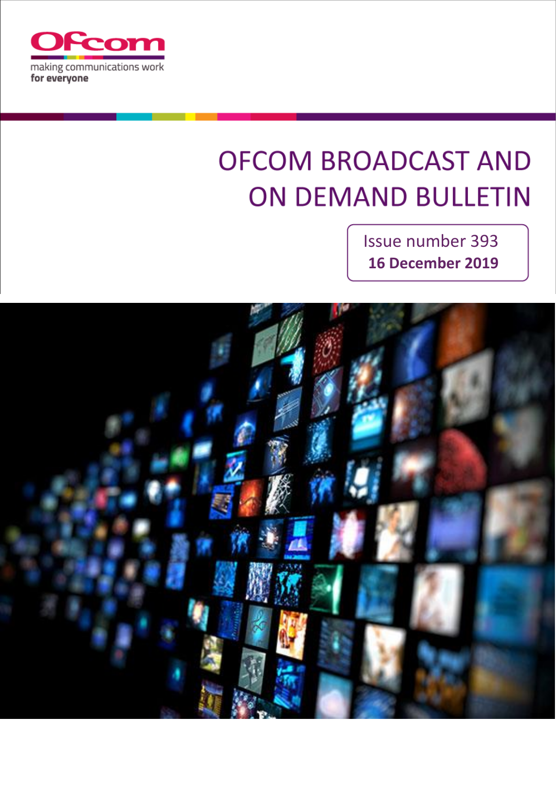

# **OFCOM BROADCAST AND ON DEMAND BULLETIN**

Issue number 393 **16 December 2019**

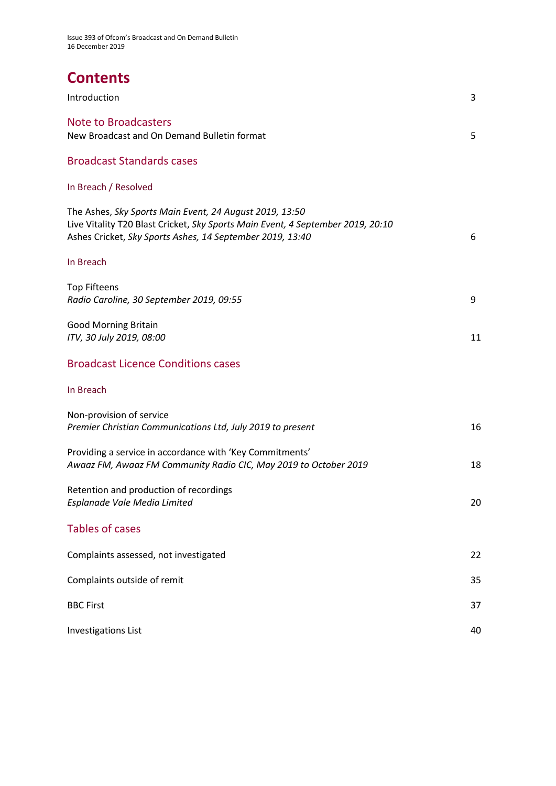# **Contents**

| Introduction                                                                                                                                                                                            | 3  |
|---------------------------------------------------------------------------------------------------------------------------------------------------------------------------------------------------------|----|
| <b>Note to Broadcasters</b><br>New Broadcast and On Demand Bulletin format                                                                                                                              | 5  |
| <b>Broadcast Standards cases</b>                                                                                                                                                                        |    |
| In Breach / Resolved                                                                                                                                                                                    |    |
| The Ashes, Sky Sports Main Event, 24 August 2019, 13:50<br>Live Vitality T20 Blast Cricket, Sky Sports Main Event, 4 September 2019, 20:10<br>Ashes Cricket, Sky Sports Ashes, 14 September 2019, 13:40 | 6  |
| In Breach                                                                                                                                                                                               |    |
| <b>Top Fifteens</b><br>Radio Caroline, 30 September 2019, 09:55                                                                                                                                         | 9  |
| <b>Good Morning Britain</b><br>ITV, 30 July 2019, 08:00                                                                                                                                                 | 11 |
| <b>Broadcast Licence Conditions cases</b>                                                                                                                                                               |    |
| In Breach                                                                                                                                                                                               |    |
| Non-provision of service<br>Premier Christian Communications Ltd, July 2019 to present                                                                                                                  | 16 |
| Providing a service in accordance with 'Key Commitments'<br>Awaaz FM, Awaaz FM Community Radio CIC, May 2019 to October 2019                                                                            | 18 |
| Retention and production of recordings<br>Esplanade Vale Media Limited                                                                                                                                  | 20 |
| <b>Tables of cases</b>                                                                                                                                                                                  |    |
| Complaints assessed, not investigated                                                                                                                                                                   | 22 |
| Complaints outside of remit                                                                                                                                                                             | 35 |
| <b>BBC First</b>                                                                                                                                                                                        | 37 |
| <b>Investigations List</b>                                                                                                                                                                              | 40 |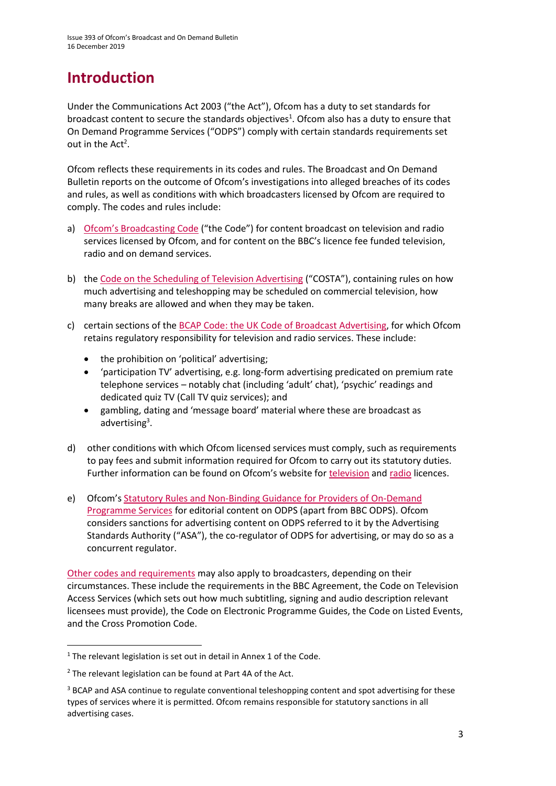# **Introduction**

Under the Communications Act 2003 ("the Act"), Ofcom has a duty to set standards for broadcast content to secure the standards objectives<sup>1</sup>. Ofcom also has a duty to ensure that On Demand Programme Services ("ODPS") comply with certain standards requirements set out in the  $Act^2$ .

Ofcom reflects these requirements in its codes and rules. The Broadcast and On Demand Bulletin reports on the outcome of Ofcom's investigations into alleged breaches of its codes and rules, as well as conditions with which broadcasters licensed by Ofcom are required to comply. The codes and rules include:

- a) [Ofcom's Broadcasting Code](http://stakeholders.ofcom.org.uk/broadcasting/broadcast-codes/broadcast-code/) ("the Code") for content broadcast on television and radio services licensed by Ofcom, and for content on the BBC's licence fee funded television, radio and on demand services.
- b) the [Code on the Scheduling of Television Advertising](https://www.ofcom.org.uk/__data/assets/pdf_file/0014/32162/costa-april-2016.pdf) ("COSTA"), containing rules on how much advertising and teleshopping may be scheduled on commercial television, how many breaks are allowed and when they may be taken.
- c) certain sections of th[e BCAP Code: the UK Code of Broadcast Advertising,](https://www.asa.org.uk/codes-and-rulings/advertising-codes/broadcast-code.html) for which Ofcom retains regulatory responsibility for television and radio services. These include:
	- the prohibition on 'political' advertising;
	- 'participation TV' advertising, e.g. long-form advertising predicated on premium rate telephone services – notably chat (including 'adult' chat), 'psychic' readings and dedicated quiz TV (Call TV quiz services); and
	- gambling, dating and 'message board' material where these are broadcast as advertising<sup>3</sup>.
- d) other conditions with which Ofcom licensed services must comply, such as requirements to pay fees and submit information required for Ofcom to carry out its statutory duties. Further information can be found on Ofcom's website for [television](http://licensing.ofcom.org.uk/tv-broadcast-licences/) and [radio](http://licensing.ofcom.org.uk/radio-broadcast-licensing/) licences.
- e) Ofcom's [Statutory Rules and Non-Binding Guidance for Providers of On-Demand](http://stakeholders.ofcom.org.uk/binaries/broadcast/on-demand/rules-guidance/rules_and_guidance.pdf)  [Programme Services](http://stakeholders.ofcom.org.uk/binaries/broadcast/on-demand/rules-guidance/rules_and_guidance.pdf) for editorial content on ODPS (apart from BBC ODPS). Ofcom considers sanctions for advertising content on ODPS referred to it by the Advertising Standards Authority ("ASA"), the co-regulator of ODPS for advertising, or may do so as a concurrent regulator.

[Other codes and requirements](http://stakeholders.ofcom.org.uk/broadcasting/broadcast-codes/) may also apply to broadcasters, depending on their circumstances. These include the requirements in the BBC Agreement, the Code on Television Access Services (which sets out how much subtitling, signing and audio description relevant licensees must provide), the Code on Electronic Programme Guides, the Code on Listed Events, and the Cross Promotion Code.

**.** 

<sup>&</sup>lt;sup>1</sup> The relevant legislation is set out in detail in Annex 1 of the Code.

<sup>&</sup>lt;sup>2</sup> The relevant legislation can be found at Part 4A of the Act.

<sup>&</sup>lt;sup>3</sup> BCAP and ASA continue to regulate conventional teleshopping content and spot advertising for these types of services where it is permitted. Ofcom remains responsible for statutory sanctions in all advertising cases.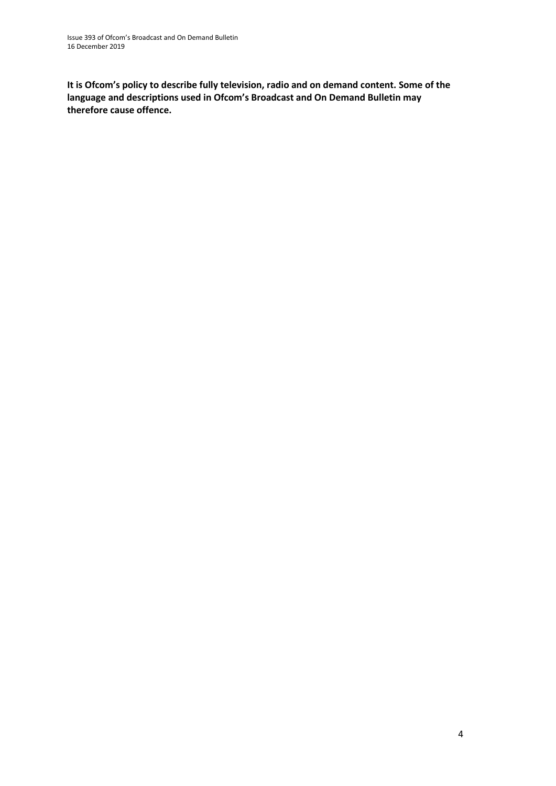**It is Ofcom's policy to describe fully television, radio and on demand content. Some of the language and descriptions used in Ofcom's Broadcast and On Demand Bulletin may therefore cause offence.**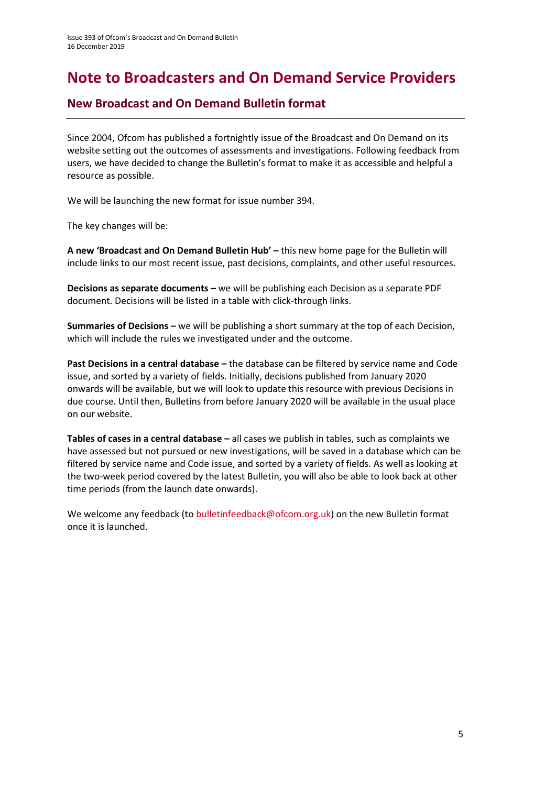## **Note to Broadcasters and On Demand Service Providers**

### **New Broadcast and On Demand Bulletin format**

Since 2004, Ofcom has published a fortnightly issue of the Broadcast and On Demand on its website setting out the outcomes of assessments and investigations. Following feedback from users, we have decided to change the Bulletin's format to make it as accessible and helpful a resource as possible.

We will be launching the new format for issue number 394.

The key changes will be:

**A new 'Broadcast and On Demand Bulletin Hub' –** this new home page for the Bulletin will include links to our most recent issue, past decisions, complaints, and other useful resources.

**Decisions as separate documents –** we will be publishing each Decision as a separate PDF document. Decisions will be listed in a table with click-through links.

**Summaries of Decisions –** we will be publishing a short summary at the top of each Decision, which will include the rules we investigated under and the outcome.

**Past Decisions in a central database –** the database can be filtered by service name and Code issue, and sorted by a variety of fields. Initially, decisions published from January 2020 onwards will be available, but we will look to update this resource with previous Decisions in due course. Until then, Bulletins from before January 2020 will be available in the usual place on our website.

**Tables of cases in a central database –** all cases we publish in tables, such as complaints we have assessed but not pursued or new investigations, will be saved in a database which can be filtered by service name and Code issue, and sorted by a variety of fields. As well as looking at the two-week period covered by the latest Bulletin, you will also be able to look back at other time periods (from the launch date onwards).

We welcome any feedback (to [bulletinfeedback@ofcom.org.uk\)](mailto:bulletinfeedback@ofcom.org.uk) on the new Bulletin format once it is launched.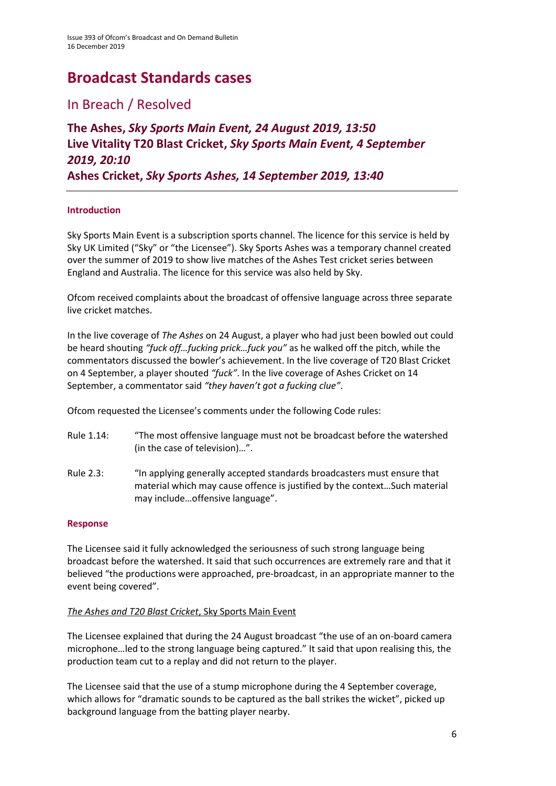# **Broadcast Standards cases**

### In Breach / Resolved

**The Ashes,** *Sky Sports Main Event, 24 August 2019, 13:50* **Live Vitality T20 Blast Cricket,** *Sky Sports Main Event, 4 September 2019, 20:10* **Ashes Cricket,** *Sky Sports Ashes, 14 September 2019, 13:40*

### **Introduction**

Sky Sports Main Event is a subscription sports channel. The licence for this service is held by Sky UK Limited ("Sky" or "the Licensee"). Sky Sports Ashes was a temporary channel created over the summer of 2019 to show live matches of the Ashes Test cricket series between England and Australia. The licence for this service was also held by Sky.

Ofcom received complaints about the broadcast of offensive language across three separate live cricket matches.

In the live coverage of *The Ashes* on 24 August, a player who had just been bowled out could be heard shouting *"fuck off…fucking prick…fuck you"* as he walked off the pitch, while the commentators discussed the bowler's achievement. In the live coverage of T20 Blast Cricket on 4 September, a player shouted *"fuck"*. In the live coverage of Ashes Cricket on 14 September, a commentator said *"they haven't got a fucking clue"*.

Ofcom requested the Licensee's comments under the following Code rules:

- Rule 1.14: "The most offensive language must not be broadcast before the watershed (in the case of television)…".
- Rule 2.3: "In applying generally accepted standards broadcasters must ensure that material which may cause offence is justified by the context…Such material may include…offensive language".

### **Response**

The Licensee said it fully acknowledged the seriousness of such strong language being broadcast before the watershed. It said that such occurrences are extremely rare and that it believed "the productions were approached, pre-broadcast, in an appropriate manner to the event being covered".

### *The Ashes and T20 Blast Cricket*, Sky Sports Main Event

The Licensee explained that during the 24 August broadcast "the use of an on-board camera microphone…led to the strong language being captured." It said that upon realising this, the production team cut to a replay and did not return to the player.

The Licensee said that the use of a stump microphone during the 4 September coverage, which allows for "dramatic sounds to be captured as the ball strikes the wicket", picked up background language from the batting player nearby.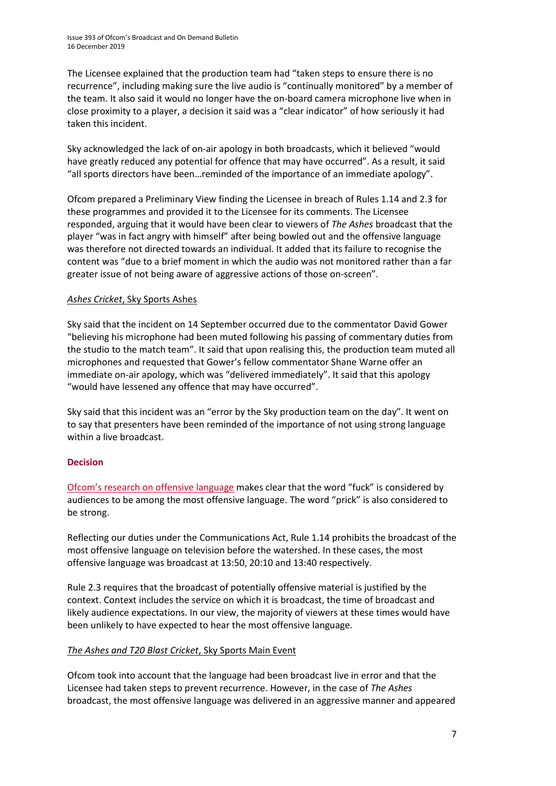The Licensee explained that the production team had "taken steps to ensure there is no recurrence", including making sure the live audio is "continually monitored" by a member of the team. It also said it would no longer have the on-board camera microphone live when in close proximity to a player, a decision it said was a "clear indicator" of how seriously it had taken this incident.

Sky acknowledged the lack of on-air apology in both broadcasts, which it believed "would have greatly reduced any potential for offence that may have occurred". As a result, it said "all sports directors have been…reminded of the importance of an immediate apology".

Ofcom prepared a Preliminary View finding the Licensee in breach of Rules 1.14 and 2.3 for these programmes and provided it to the Licensee for its comments. The Licensee responded, arguing that it would have been clear to viewers of *The Ashes* broadcast that the player "was in fact angry with himself" after being bowled out and the offensive language was therefore not directed towards an individual. It added that its failure to recognise the content was "due to a brief moment in which the audio was not monitored rather than a far greater issue of not being aware of aggressive actions of those on-screen".

#### *Ashes Cricket*, Sky Sports Ashes

Sky said that the incident on 14 September occurred due to the commentator David Gower "believing his microphone had been muted following his passing of commentary duties from the studio to the match team". It said that upon realising this, the production team muted all microphones and requested that Gower's fellow commentator Shane Warne offer an immediate on-air apology, which was "delivered immediately". It said that this apology "would have lessened any offence that may have occurred".

Sky said that this incident was an "error by the Sky production team on the day". It went on to say that presenters have been reminded of the importance of not using strong language within a live broadcast.

### **Decision**

[Ofcom's research on offensive language](https://www.ofcom.org.uk/__data/assets/pdf_file/0022/91624/OfcomOffensiveLanguage.pdf) makes clear that the word "fuck" is considered by audiences to be among the most offensive language. The word "prick" is also considered to be strong.

Reflecting our duties under the Communications Act, Rule 1.14 prohibits the broadcast of the most offensive language on television before the watershed. In these cases, the most offensive language was broadcast at 13:50, 20:10 and 13:40 respectively.

Rule 2.3 requires that the broadcast of potentially offensive material is justified by the context. Context includes the service on which it is broadcast, the time of broadcast and likely audience expectations. In our view, the majority of viewers at these times would have been unlikely to have expected to hear the most offensive language.

### *The Ashes and T20 Blast Cricket*, Sky Sports Main Event

Ofcom took into account that the language had been broadcast live in error and that the Licensee had taken steps to prevent recurrence. However, in the case of *The Ashes* broadcast, the most offensive language was delivered in an aggressive manner and appeared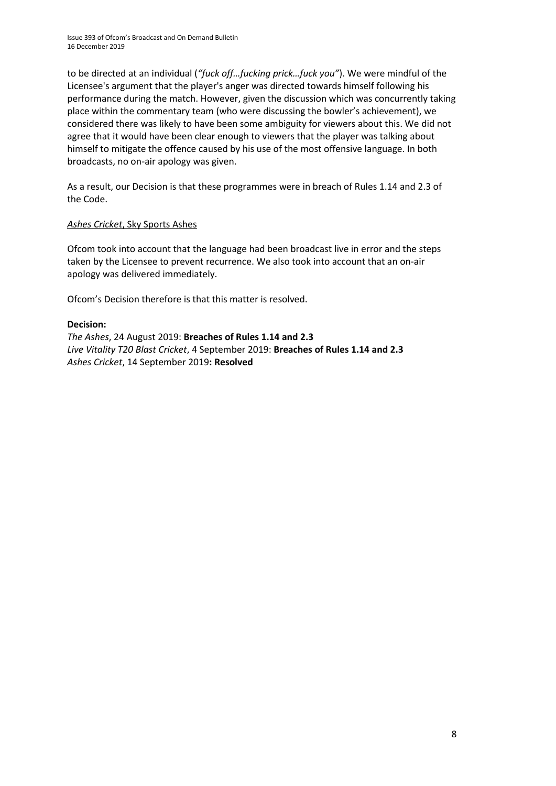to be directed at an individual (*"fuck off…fucking prick…fuck you"*). We were mindful of the Licensee's argument that the player's anger was directed towards himself following his performance during the match. However, given the discussion which was concurrently taking place within the commentary team (who were discussing the bowler's achievement), we considered there was likely to have been some ambiguity for viewers about this. We did not agree that it would have been clear enough to viewers that the player was talking about himself to mitigate the offence caused by his use of the most offensive language. In both broadcasts, no on-air apology was given.

As a result, our Decision is that these programmes were in breach of Rules 1.14 and 2.3 of the Code.

### *Ashes Cricket*, Sky Sports Ashes

Ofcom took into account that the language had been broadcast live in error and the steps taken by the Licensee to prevent recurrence. We also took into account that an on-air apology was delivered immediately.

Ofcom's Decision therefore is that this matter is resolved.

#### **Decision:**

*The Ashes*, 24 August 2019: **Breaches of Rules 1.14 and 2.3**  *Live Vitality T20 Blast Cricket*, 4 September 2019: **Breaches of Rules 1.14 and 2.3**  *Ashes Cricket*, 14 September 2019**: Resolved**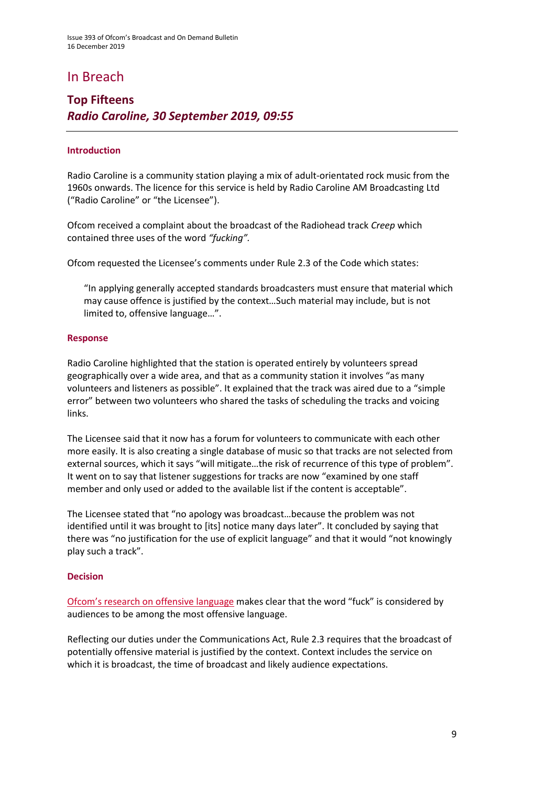### In Breach

### **Top Fifteens** *Radio Caroline, 30 September 2019, 09:55*

#### **Introduction**

Radio Caroline is a community station playing a mix of adult-orientated rock music from the 1960s onwards. The licence for this service is held by Radio Caroline AM Broadcasting Ltd ("Radio Caroline" or "the Licensee").

Ofcom received a complaint about the broadcast of the Radiohead track *Creep* which contained three uses of the word *"fucking".*

Ofcom requested the Licensee's comments under Rule 2.3 of the Code which states:

"In applying generally accepted standards broadcasters must ensure that material which may cause offence is justified by the context…Such material may include, but is not limited to, offensive language…".

#### **Response**

Radio Caroline highlighted that the station is operated entirely by volunteers spread geographically over a wide area, and that as a community station it involves "as many volunteers and listeners as possible". It explained that the track was aired due to a "simple error" between two volunteers who shared the tasks of scheduling the tracks and voicing links.

The Licensee said that it now has a forum for volunteers to communicate with each other more easily. It is also creating a single database of music so that tracks are not selected from external sources, which it says "will mitigate…the risk of recurrence of this type of problem". It went on to say that listener suggestions for tracks are now "examined by one staff member and only used or added to the available list if the content is acceptable".

The Licensee stated that "no apology was broadcast…because the problem was not identified until it was brought to [its] notice many days later". It concluded by saying that there was "no justification for the use of explicit language" and that it would "not knowingly play such a track".

#### **Decision**

[Ofcom's research on offensive language](https://www.ofcom.org.uk/__data/assets/pdf_file/0022/91624/OfcomOffensiveLanguage.pdf) makes clear that the word "fuck" is considered by audiences to be among the most offensive language.

Reflecting our duties under the Communications Act, Rule 2.3 requires that the broadcast of potentially offensive material is justified by the context. Context includes the service on which it is broadcast, the time of broadcast and likely audience expectations.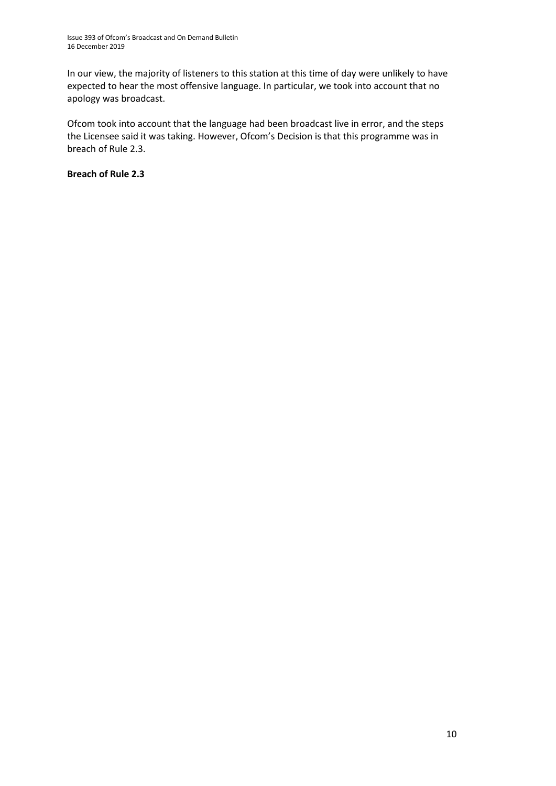In our view, the majority of listeners to this station at this time of day were unlikely to have expected to hear the most offensive language. In particular, we took into account that no apology was broadcast.

Ofcom took into account that the language had been broadcast live in error, and the steps the Licensee said it was taking. However, Ofcom's Decision is that this programme was in breach of Rule 2.3.

**Breach of Rule 2.3**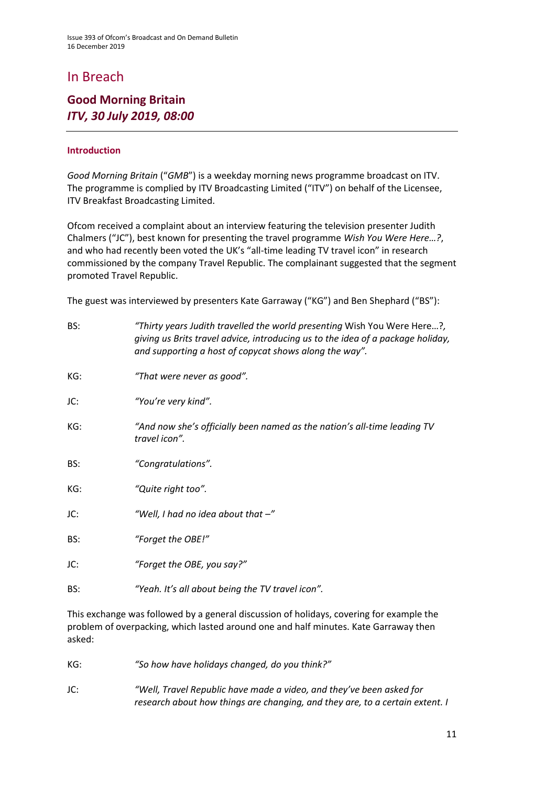### In Breach

### **Good Morning Britain** *ITV, 30 July 2019, 08:00*

#### **Introduction**

*Good Morning Britain* ("*GMB*") is a weekday morning news programme broadcast on ITV. The programme is complied by ITV Broadcasting Limited ("ITV") on behalf of the Licensee, ITV Breakfast Broadcasting Limited.

Ofcom received a complaint about an interview featuring the television presenter Judith Chalmers ("JC"), best known for presenting the travel programme *Wish You Were Here…?*, and who had recently been voted the UK's "all-time leading TV travel icon" in research commissioned by the company Travel Republic. The complainant suggested that the segment promoted Travel Republic.

The guest was interviewed by presenters Kate Garraway ("KG") and Ben Shephard ("BS"):

| BS: | "Thirty years Judith travelled the world presenting Wish You Were Here?,<br>giving us Brits travel advice, introducing us to the idea of a package holiday,<br>and supporting a host of copycat shows along the way". |
|-----|-----------------------------------------------------------------------------------------------------------------------------------------------------------------------------------------------------------------------|
| KG: | "That were never as good".                                                                                                                                                                                            |
| JC: | "You're very kind".                                                                                                                                                                                                   |
| KG: | "And now she's officially been named as the nation's all-time leading TV<br>travel icon".                                                                                                                             |
| BS: | "Congratulations".                                                                                                                                                                                                    |
| KG: | "Quite right too".                                                                                                                                                                                                    |
| JC: | "Well, I had no idea about that $-$ "                                                                                                                                                                                 |
| BS: | "Forget the OBE!"                                                                                                                                                                                                     |
| JC: | "Forget the OBE, you say?"                                                                                                                                                                                            |
| BS: | "Yeah. It's all about being the TV travel icon".                                                                                                                                                                      |

This exchange was followed by a general discussion of holidays, covering for example the problem of overpacking, which lasted around one and half minutes. Kate Garraway then asked:

KG: *"So how have holidays changed, do you think?"*

JC: *"Well, Travel Republic have made a video, and they've been asked for research about how things are changing, and they are, to a certain extent. I*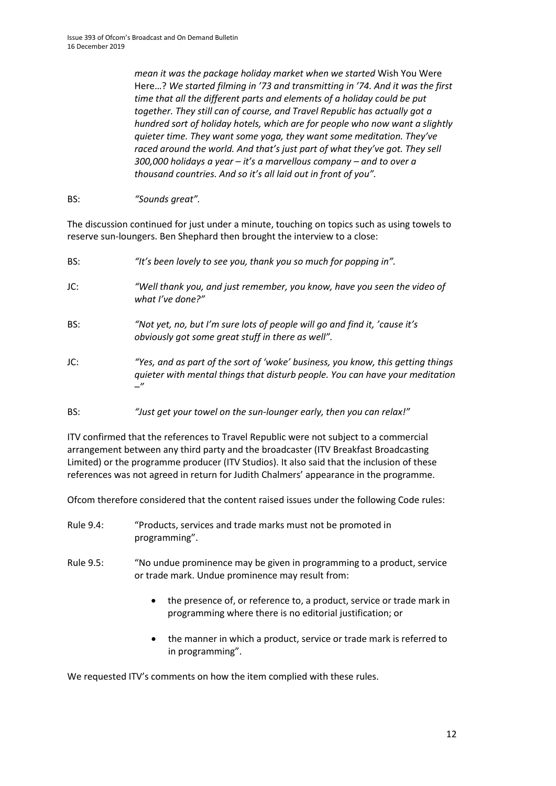*mean it was the package holiday market when we started* Wish You Were Here…? *We started filming in '73 and transmitting in '74. And it was the first time that all the different parts and elements of a holiday could be put together. They still can of course, and Travel Republic has actually got a hundred sort of holiday hotels, which are for people who now want a slightly quieter time. They want some yoga, they want some meditation. They've raced around the world. And that's just part of what they've got. They sell 300,000 holidays a year – it's a marvellous company – and to over a thousand countries. And so it's all laid out in front of you".*

BS: *"Sounds great".*

The discussion continued for just under a minute, touching on topics such as using towels to reserve sun-loungers. Ben Shephard then brought the interview to a close:

| BS: | "It's been lovely to see you, thank you so much for popping in".                                                                                                                     |
|-----|--------------------------------------------------------------------------------------------------------------------------------------------------------------------------------------|
| JC: | "Well thank you, and just remember, you know, have you seen the video of<br>what I've done?"                                                                                         |
| BS: | "Not yet, no, but I'm sure lots of people will go and find it, 'cause it's<br>obviously got some great stuff in there as well".                                                      |
| JC: | "Yes, and as part of the sort of 'woke' business, you know, this getting things<br>quieter with mental things that disturb people. You can have your meditation<br>$^{\prime\prime}$ |

BS: *"Just get your towel on the sun-lounger early, then you can relax!"*

ITV confirmed that the references to Travel Republic were not subject to a commercial arrangement between any third party and the broadcaster (ITV Breakfast Broadcasting Limited) or the programme producer (ITV Studios). It also said that the inclusion of these references was not agreed in return for Judith Chalmers' appearance in the programme.

Ofcom therefore considered that the content raised issues under the following Code rules:

- Rule 9.4: "Products, services and trade marks must not be promoted in programming".
- Rule 9.5: "No undue prominence may be given in programming to a product, service or trade mark. Undue prominence may result from:
	- the presence of, or reference to, a product, service or trade mark in programming where there is no editorial justification; or
	- the manner in which a product, service or trade mark is referred to in programming".

We requested ITV's comments on how the item complied with these rules.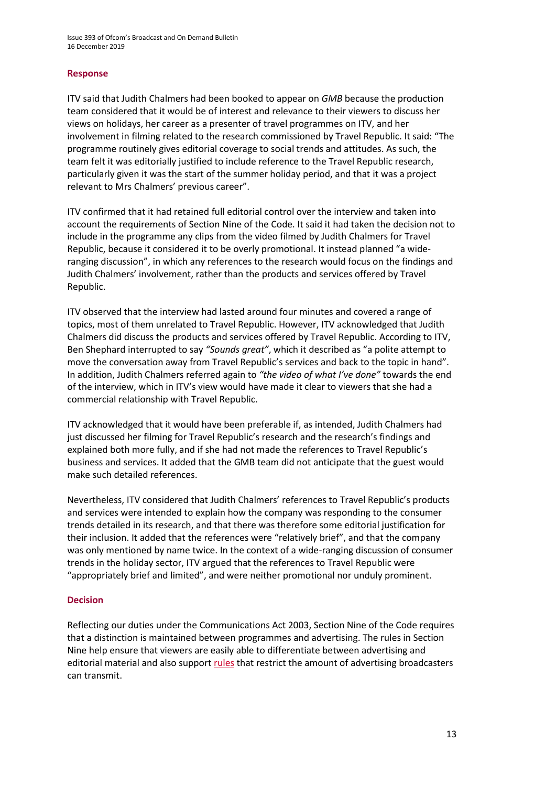#### **Response**

ITV said that Judith Chalmers had been booked to appear on *GMB* because the production team considered that it would be of interest and relevance to their viewers to discuss her views on holidays, her career as a presenter of travel programmes on ITV, and her involvement in filming related to the research commissioned by Travel Republic. It said: "The programme routinely gives editorial coverage to social trends and attitudes. As such, the team felt it was editorially justified to include reference to the Travel Republic research, particularly given it was the start of the summer holiday period, and that it was a project relevant to Mrs Chalmers' previous career".

ITV confirmed that it had retained full editorial control over the interview and taken into account the requirements of Section Nine of the Code. It said it had taken the decision not to include in the programme any clips from the video filmed by Judith Chalmers for Travel Republic, because it considered it to be overly promotional. It instead planned "a wideranging discussion", in which any references to the research would focus on the findings and Judith Chalmers' involvement, rather than the products and services offered by Travel Republic.

ITV observed that the interview had lasted around four minutes and covered a range of topics, most of them unrelated to Travel Republic. However, ITV acknowledged that Judith Chalmers did discuss the products and services offered by Travel Republic. According to ITV, Ben Shephard interrupted to say *"Sounds great"*, which it described as "a polite attempt to move the conversation away from Travel Republic's services and back to the topic in hand". In addition, Judith Chalmers referred again to *"the video of what I've done"* towards the end of the interview, which in ITV's view would have made it clear to viewers that she had a commercial relationship with Travel Republic.

ITV acknowledged that it would have been preferable if, as intended, Judith Chalmers had just discussed her filming for Travel Republic's research and the research's findings and explained both more fully, and if she had not made the references to Travel Republic's business and services. It added that the GMB team did not anticipate that the guest would make such detailed references.

Nevertheless, ITV considered that Judith Chalmers' references to Travel Republic's products and services were intended to explain how the company was responding to the consumer trends detailed in its research, and that there was therefore some editorial justification for their inclusion. It added that the references were "relatively brief", and that the company was only mentioned by name twice. In the context of a wide-ranging discussion of consumer trends in the holiday sector, ITV argued that the references to Travel Republic were "appropriately brief and limited", and were neither promotional nor unduly prominent.

#### **Decision**

Reflecting our duties under the Communications Act 2003, Section Nine of the Code requires that a distinction is maintained between programmes and advertising. The rules in Section Nine help ensure that viewers are easily able to differentiate between advertising and editorial material and also support [rules](https://www.ofcom.org.uk/__data/assets/pdf_file/0014/32162/costa-april-2016.pdf) that restrict the amount of advertising broadcasters can transmit.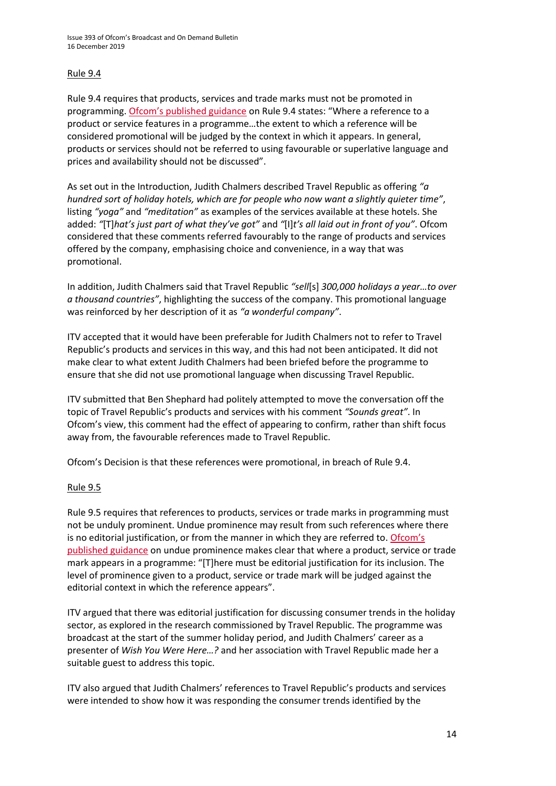#### Rule 9.4

Rule 9.4 requires that products, services and trade marks must not be promoted in programming. [Ofcom's published guidance](https://www.ofcom.org.uk/__data/assets/pdf_file/0014/33611/section9_may16.pdf) on Rule 9.4 states: "Where a reference to a product or service features in a programme…the extent to which a reference will be considered promotional will be judged by the context in which it appears. In general, products or services should not be referred to using favourable or superlative language and prices and availability should not be discussed".

As set out in the Introduction, Judith Chalmers described Travel Republic as offering *"a hundred sort of holiday hotels, which are for people who now want a slightly quieter time"*, listing *"yoga"* and *"meditation"* as examples of the services available at these hotels. She added: *"*[T]*hat's just part of what they've got"* and *"*[I]*t's all laid out in front of you"*. Ofcom considered that these comments referred favourably to the range of products and services offered by the company, emphasising choice and convenience, in a way that was promotional.

In addition, Judith Chalmers said that Travel Republic *"sell*[s] *300,000 holidays a year…to over a thousand countries"*, highlighting the success of the company. This promotional language was reinforced by her description of it as *"a wonderful company"*.

ITV accepted that it would have been preferable for Judith Chalmers not to refer to Travel Republic's products and services in this way, and this had not been anticipated. It did not make clear to what extent Judith Chalmers had been briefed before the programme to ensure that she did not use promotional language when discussing Travel Republic.

ITV submitted that Ben Shephard had politely attempted to move the conversation off the topic of Travel Republic's products and services with his comment *"Sounds great"*. In Ofcom's view, this comment had the effect of appearing to confirm, rather than shift focus away from, the favourable references made to Travel Republic.

Ofcom's Decision is that these references were promotional, in breach of Rule 9.4.

### Rule 9.5

Rule 9.5 requires that references to products, services or trade marks in programming must not be unduly prominent. Undue prominence may result from such references where there is no editorial justification, or from the manner in which they are referred to. [Ofcom's](https://www.ofcom.org.uk/__data/assets/pdf_file/0014/33611/section9_may16.pdf)  [published guidance](https://www.ofcom.org.uk/__data/assets/pdf_file/0014/33611/section9_may16.pdf) on undue prominence makes clear that where a product, service or trade mark appears in a programme: "[T]here must be editorial justification for its inclusion. The level of prominence given to a product, service or trade mark will be judged against the editorial context in which the reference appears".

ITV argued that there was editorial justification for discussing consumer trends in the holiday sector, as explored in the research commissioned by Travel Republic. The programme was broadcast at the start of the summer holiday period, and Judith Chalmers' career as a presenter of *Wish You Were Here…?* and her association with Travel Republic made her a suitable guest to address this topic.

ITV also argued that Judith Chalmers' references to Travel Republic's products and services were intended to show how it was responding the consumer trends identified by the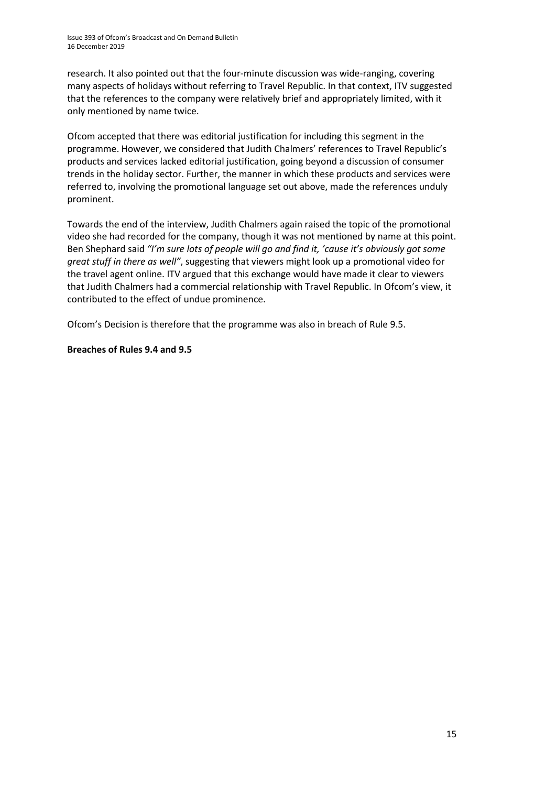research. It also pointed out that the four-minute discussion was wide-ranging, covering many aspects of holidays without referring to Travel Republic. In that context, ITV suggested that the references to the company were relatively brief and appropriately limited, with it only mentioned by name twice.

Ofcom accepted that there was editorial justification for including this segment in the programme. However, we considered that Judith Chalmers' references to Travel Republic's products and services lacked editorial justification, going beyond a discussion of consumer trends in the holiday sector. Further, the manner in which these products and services were referred to, involving the promotional language set out above, made the references unduly prominent.

Towards the end of the interview, Judith Chalmers again raised the topic of the promotional video she had recorded for the company, though it was not mentioned by name at this point. Ben Shephard said *"I'm sure lots of people will go and find it, 'cause it's obviously got some great stuff in there as well"*, suggesting that viewers might look up a promotional video for the travel agent online. ITV argued that this exchange would have made it clear to viewers that Judith Chalmers had a commercial relationship with Travel Republic. In Ofcom's view, it contributed to the effect of undue prominence.

Ofcom's Decision is therefore that the programme was also in breach of Rule 9.5.

#### **Breaches of Rules 9.4 and 9.5**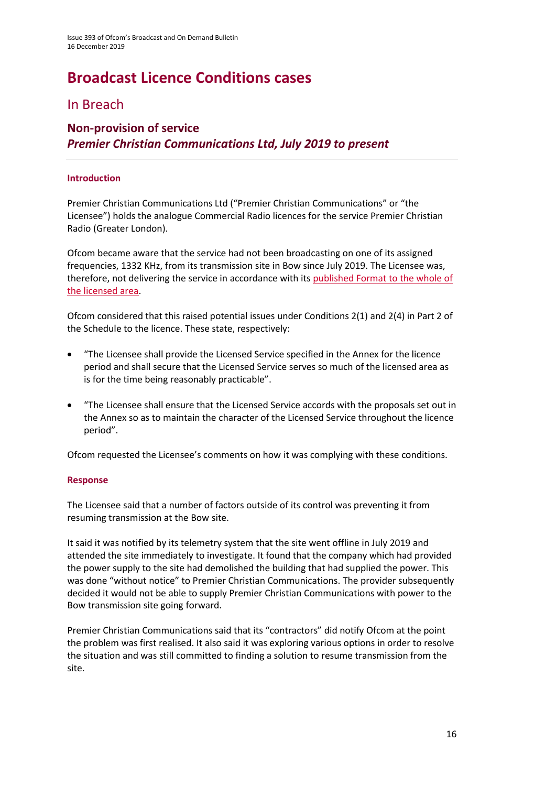# **Broadcast Licence Conditions cases**

### In Breach

### **Non-provision of service** *Premier Christian Communications Ltd, July 2019 to present*

### **Introduction**

Premier Christian Communications Ltd ("Premier Christian Communications" or "the Licensee") holds the analogue Commercial Radio licences for the service Premier Christian Radio (Greater London).

Ofcom became aware that the service had not been broadcasting on one of its assigned frequencies, 1332 KHz, from its transmission site in Bow since July 2019. The Licensee was, therefore, not delivering the service in accordance with its [published Format](http://static.ofcom.org.uk/static/radiolicensing/html/radio-stations/analogue/al000176ba1premierchristianradio.htm) to the whole of the licensed area.

Ofcom considered that this raised potential issues under Conditions 2(1) and 2(4) in Part 2 of the Schedule to the licence. These state, respectively:

- "The Licensee shall provide the Licensed Service specified in the Annex for the licence period and shall secure that the Licensed Service serves so much of the licensed area as is for the time being reasonably practicable".
- "The Licensee shall ensure that the Licensed Service accords with the proposals set out in the Annex so as to maintain the character of the Licensed Service throughout the licence period".

Ofcom requested the Licensee's comments on how it was complying with these conditions.

### **Response**

The Licensee said that a number of factors outside of its control was preventing it from resuming transmission at the Bow site.

It said it was notified by its telemetry system that the site went offline in July 2019 and attended the site immediately to investigate. It found that the company which had provided the power supply to the site had demolished the building that had supplied the power. This was done "without notice" to Premier Christian Communications. The provider subsequently decided it would not be able to supply Premier Christian Communications with power to the Bow transmission site going forward.

Premier Christian Communications said that its "contractors" did notify Ofcom at the point the problem was first realised. It also said it was exploring various options in order to resolve the situation and was still committed to finding a solution to resume transmission from the site.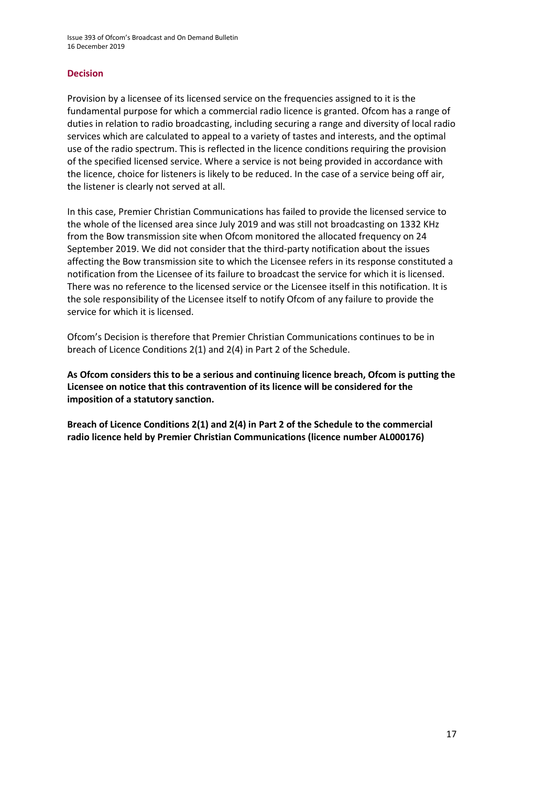Issue 393 of Ofcom's Broadcast and On Demand Bulletin 16 December 2019

#### **Decision**

Provision by a licensee of its licensed service on the frequencies assigned to it is the fundamental purpose for which a commercial radio licence is granted. Ofcom has a range of duties in relation to radio broadcasting, including securing a range and diversity of local radio services which are calculated to appeal to a variety of tastes and interests, and the optimal use of the radio spectrum. This is reflected in the licence conditions requiring the provision of the specified licensed service. Where a service is not being provided in accordance with the licence, choice for listeners is likely to be reduced. In the case of a service being off air, the listener is clearly not served at all.

In this case, Premier Christian Communications has failed to provide the licensed service to the whole of the licensed area since July 2019 and was still not broadcasting on 1332 KHz from the Bow transmission site when Ofcom monitored the allocated frequency on 24 September 2019. We did not consider that the third-party notification about the issues affecting the Bow transmission site to which the Licensee refers in its response constituted a notification from the Licensee of its failure to broadcast the service for which it is licensed. There was no reference to the licensed service or the Licensee itself in this notification. It is the sole responsibility of the Licensee itself to notify Ofcom of any failure to provide the service for which it is licensed.

Ofcom's Decision is therefore that Premier Christian Communications continues to be in breach of Licence Conditions 2(1) and 2(4) in Part 2 of the Schedule.

**As Ofcom considers this to be a serious and continuing licence breach, Ofcom is putting the Licensee on notice that this contravention of its licence will be considered for the imposition of a statutory sanction.**

**Breach of Licence Conditions 2(1) and 2(4) in Part 2 of the Schedule to the commercial radio licence held by Premier Christian Communications (licence number AL000176)**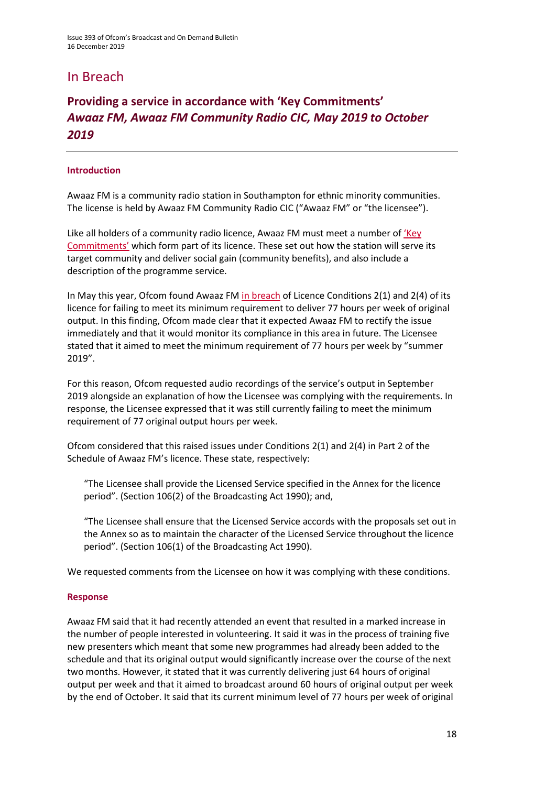### In Breach

### **Providing a service in accordance with 'Key Commitments'**  *Awaaz FM, Awaaz FM Community Radio CIC, May 2019 to October 2019*

### **Introduction**

Awaaz FM is a community radio station in Southampton for ethnic minority communities. The license is held by Awaaz FM Community Radio CIC ("Awaaz FM" or "the licensee").

Like all holders of a community radio licence, Awaaz FM must meet a number of ['Key](http://static.ofcom.org.uk/static/radiolicensing/Community/commitments/cr101276.pdf)  [Commitments'](http://static.ofcom.org.uk/static/radiolicensing/Community/commitments/cr101276.pdf) which form part of its licence. These set out how the station will serve its target community and deliver social gain (community benefits), and also include a description of the programme service.

In May this year, Ofcom found Awaaz F[M in breach](https://www.ofcom.org.uk/__data/assets/pdf_file/0020/151922/issue-380-broadcast-and-on-demand-bulletin.pdf) of Licence Conditions 2(1) and 2(4) of its licence for failing to meet its minimum requirement to deliver 77 hours per week of original output. In this finding, Ofcom made clear that it expected Awaaz FM to rectify the issue immediately and that it would monitor its compliance in this area in future. The Licensee stated that it aimed to meet the minimum requirement of 77 hours per week by "summer 2019".

For this reason, Ofcom requested audio recordings of the service's output in September 2019 alongside an explanation of how the Licensee was complying with the requirements. In response, the Licensee expressed that it was still currently failing to meet the minimum requirement of 77 original output hours per week.

Ofcom considered that this raised issues under Conditions 2(1) and 2(4) in Part 2 of the Schedule of Awaaz FM's licence. These state, respectively:

"The Licensee shall provide the Licensed Service specified in the Annex for the licence period". (Section 106(2) of the Broadcasting Act 1990); and,

"The Licensee shall ensure that the Licensed Service accords with the proposals set out in the Annex so as to maintain the character of the Licensed Service throughout the licence period". (Section 106(1) of the Broadcasting Act 1990).

We requested comments from the Licensee on how it was complying with these conditions.

#### **Response**

Awaaz FM said that it had recently attended an event that resulted in a marked increase in the number of people interested in volunteering. It said it was in the process of training five new presenters which meant that some new programmes had already been added to the schedule and that its original output would significantly increase over the course of the next two months. However, it stated that it was currently delivering just 64 hours of original output per week and that it aimed to broadcast around 60 hours of original output per week by the end of October. It said that its current minimum level of 77 hours per week of original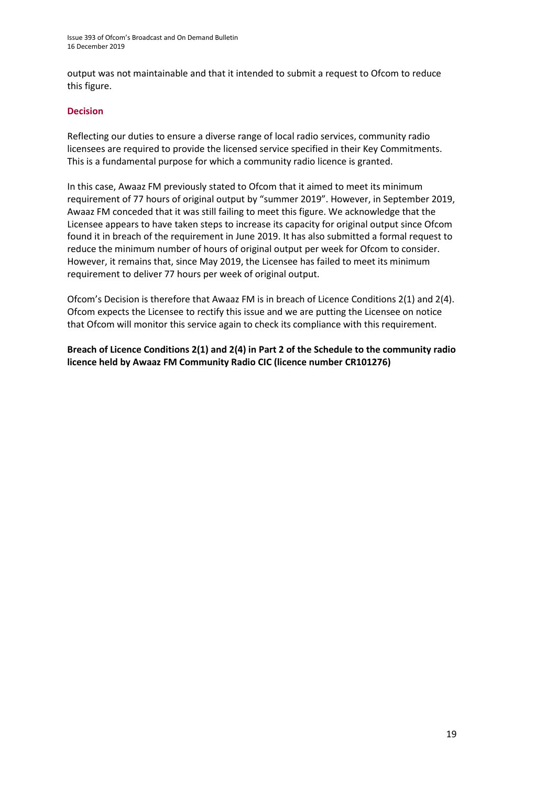output was not maintainable and that it intended to submit a request to Ofcom to reduce this figure.

#### **Decision**

Reflecting our duties to ensure a diverse range of local radio services, community radio licensees are required to provide the licensed service specified in their Key Commitments. This is a fundamental purpose for which a community radio licence is granted.

In this case, Awaaz FM previously stated to Ofcom that it aimed to meet its minimum requirement of 77 hours of original output by "summer 2019". However, in September 2019, Awaaz FM conceded that it was still failing to meet this figure. We acknowledge that the Licensee appears to have taken steps to increase its capacity for original output since Ofcom found it in breach of the requirement in June 2019. It has also submitted a formal request to reduce the minimum number of hours of original output per week for Ofcom to consider. However, it remains that, since May 2019, the Licensee has failed to meet its minimum requirement to deliver 77 hours per week of original output.

Ofcom's Decision is therefore that Awaaz FM is in breach of Licence Conditions 2(1) and 2(4). Ofcom expects the Licensee to rectify this issue and we are putting the Licensee on notice that Ofcom will monitor this service again to check its compliance with this requirement.

**Breach of Licence Conditions 2(1) and 2(4) in Part 2 of the Schedule to the community radio licence held by Awaaz FM Community Radio CIC (licence number CR101276)**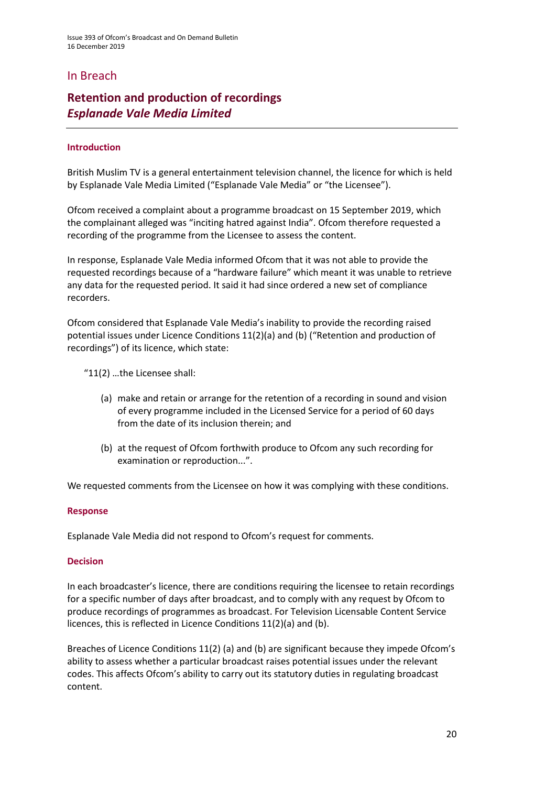### In Breach

### **Retention and production of recordings** *Esplanade Vale Media Limited*

#### **Introduction**

British Muslim TV is a general entertainment television channel, the licence for which is held by Esplanade Vale Media Limited ("Esplanade Vale Media" or "the Licensee").

Ofcom received a complaint about a programme broadcast on 15 September 2019, which the complainant alleged was "inciting hatred against India". Ofcom therefore requested a recording of the programme from the Licensee to assess the content.

In response, Esplanade Vale Media informed Ofcom that it was not able to provide the requested recordings because of a "hardware failure" which meant it was unable to retrieve any data for the requested period. It said it had since ordered a new set of compliance recorders.

Ofcom considered that Esplanade Vale Media's inability to provide the recording raised potential issues under Licence Conditions 11(2)(a) and (b) ("Retention and production of recordings") of its licence, which state:

"11(2) …the Licensee shall:

- (a) make and retain or arrange for the retention of a recording in sound and vision of every programme included in the Licensed Service for a period of 60 days from the date of its inclusion therein; and
- (b) at the request of Ofcom forthwith produce to Ofcom any such recording for examination or reproduction...".

We requested comments from the Licensee on how it was complying with these conditions.

#### **Response**

Esplanade Vale Media did not respond to Ofcom's request for comments.

#### **Decision**

In each broadcaster's licence, there are conditions requiring the licensee to retain recordings for a specific number of days after broadcast, and to comply with any request by Ofcom to produce recordings of programmes as broadcast. For Television Licensable Content Service licences, this is reflected in Licence Conditions 11(2)(a) and (b).

Breaches of Licence Conditions 11(2) (a) and (b) are significant because they impede Ofcom's ability to assess whether a particular broadcast raises potential issues under the relevant codes. This affects Ofcom's ability to carry out its statutory duties in regulating broadcast content.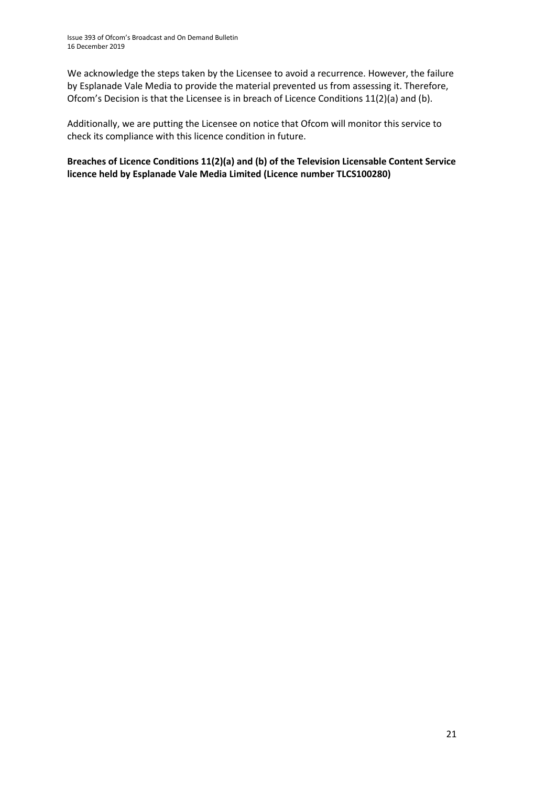We acknowledge the steps taken by the Licensee to avoid a recurrence. However, the failure by Esplanade Vale Media to provide the material prevented us from assessing it. Therefore, Ofcom's Decision is that the Licensee is in breach of Licence Conditions 11(2)(a) and (b).

Additionally, we are putting the Licensee on notice that Ofcom will monitor this service to check its compliance with this licence condition in future.

**Breaches of Licence Conditions 11(2)(a) and (b) of the Television Licensable Content Service licence held by Esplanade Vale Media Limited (Licence number TLCS100280)**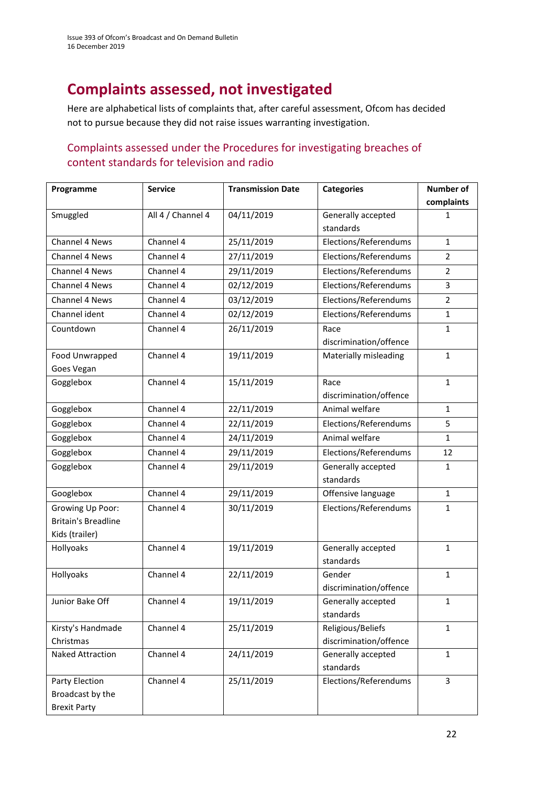# **Complaints assessed, not investigated**

Here are alphabetical lists of complaints that, after careful assessment, Ofcom has decided not to pursue because they did not raise issues warranting investigation.

### Complaints assessed under the Procedures for investigating breaches of content standards for television and radio

| Programme                  | <b>Service</b>    | <b>Transmission Date</b> | <b>Categories</b>               | <b>Number of</b> |
|----------------------------|-------------------|--------------------------|---------------------------------|------------------|
|                            |                   |                          |                                 | complaints       |
| Smuggled                   | All 4 / Channel 4 | 04/11/2019               | Generally accepted              | 1                |
|                            |                   |                          | standards                       |                  |
| Channel 4 News             | Channel 4         | 25/11/2019               | Elections/Referendums           | $\mathbf{1}$     |
| Channel 4 News             | Channel 4         | 27/11/2019               | Elections/Referendums           | $\overline{2}$   |
| Channel 4 News             | Channel 4         | 29/11/2019               | Elections/Referendums           | $\overline{2}$   |
| Channel 4 News             | Channel 4         | 02/12/2019               | Elections/Referendums           | 3                |
| Channel 4 News             | Channel 4         | 03/12/2019               | Elections/Referendums           | $\overline{2}$   |
| Channel ident              | Channel 4         | 02/12/2019               | Elections/Referendums           | $\mathbf{1}$     |
| Countdown                  | Channel 4         | 26/11/2019               | Race                            | 1                |
|                            |                   |                          | discrimination/offence          |                  |
| Food Unwrapped             | Channel 4         | 19/11/2019               | Materially misleading           | $\mathbf{1}$     |
| Goes Vegan                 |                   |                          |                                 |                  |
| Gogglebox                  | Channel 4         | 15/11/2019               | Race                            | $\mathbf{1}$     |
|                            |                   |                          | discrimination/offence          |                  |
| Gogglebox                  | Channel 4         | 22/11/2019               | Animal welfare                  | $\mathbf{1}$     |
| Gogglebox                  | Channel 4         | 22/11/2019               | Elections/Referendums           | 5                |
| Gogglebox                  | Channel 4         | 24/11/2019               | Animal welfare                  | $\mathbf{1}$     |
| Gogglebox                  | Channel 4         | 29/11/2019               | Elections/Referendums           | 12               |
| Gogglebox                  | Channel 4         | 29/11/2019               | Generally accepted              | $\mathbf{1}$     |
|                            |                   |                          | standards                       |                  |
| Googlebox                  | Channel 4         | 29/11/2019               | Offensive language              | $\mathbf{1}$     |
| Growing Up Poor:           | Channel 4         | 30/11/2019               | Elections/Referendums           | $\mathbf{1}$     |
| <b>Britain's Breadline</b> |                   |                          |                                 |                  |
| Kids (trailer)             |                   |                          |                                 |                  |
| Hollyoaks                  | Channel 4         | 19/11/2019               | Generally accepted              | $\mathbf{1}$     |
|                            |                   |                          | standards                       |                  |
| Hollyoaks                  | Channel 4         | 22/11/2019               | Gender                          | $\mathbf{1}$     |
|                            |                   |                          | discrimination/offence          |                  |
| Junior Bake Off            | Channel 4         | 19/11/2019               | Generally accepted<br>standards | 1                |
| Kirsty's Handmade          | Channel 4         | 25/11/2019               | Religious/Beliefs               | $\mathbf{1}$     |
| Christmas                  |                   |                          | discrimination/offence          |                  |
| Naked Attraction           | Channel 4         | 24/11/2019               | Generally accepted              | $\mathbf{1}$     |
|                            |                   |                          | standards                       |                  |
| Party Election             | Channel 4         | 25/11/2019               | Elections/Referendums           | $\overline{3}$   |
| Broadcast by the           |                   |                          |                                 |                  |
| <b>Brexit Party</b>        |                   |                          |                                 |                  |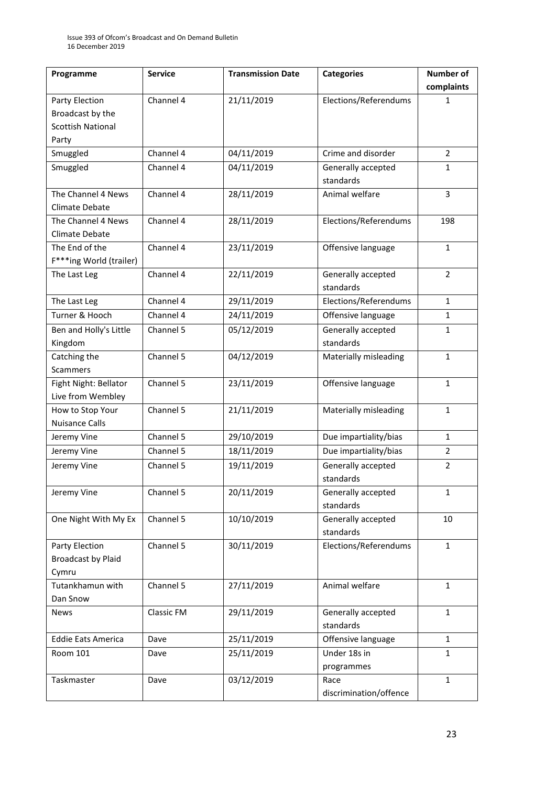| Programme                                                               | <b>Service</b> | <b>Transmission Date</b> | <b>Categories</b>               | <b>Number of</b> |
|-------------------------------------------------------------------------|----------------|--------------------------|---------------------------------|------------------|
|                                                                         |                |                          |                                 | complaints       |
| Party Election<br>Broadcast by the<br><b>Scottish National</b><br>Party | Channel 4      | 21/11/2019               | Elections/Referendums           | 1                |
| Smuggled                                                                | Channel 4      | 04/11/2019               | Crime and disorder              | $\overline{2}$   |
| Smuggled                                                                | Channel 4      | 04/11/2019               | Generally accepted<br>standards | $\mathbf{1}$     |
| The Channel 4 News<br>Climate Debate                                    | Channel 4      | 28/11/2019               | Animal welfare                  | 3                |
| The Channel 4 News<br>Climate Debate                                    | Channel 4      | 28/11/2019               | Elections/Referendums           | 198              |
| The End of the<br>F***ing World (trailer)                               | Channel 4      | 23/11/2019               | Offensive language              | $\mathbf{1}$     |
| The Last Leg                                                            | Channel 4      | 22/11/2019               | Generally accepted<br>standards | $\overline{2}$   |
| The Last Leg                                                            | Channel 4      | 29/11/2019               | Elections/Referendums           | $\mathbf{1}$     |
| Turner & Hooch                                                          | Channel 4      | 24/11/2019               | Offensive language              | $\mathbf{1}$     |
| Ben and Holly's Little<br>Kingdom                                       | Channel 5      | 05/12/2019               | Generally accepted<br>standards | $\mathbf{1}$     |
| Catching the<br>Scammers                                                | Channel 5      | 04/12/2019               | Materially misleading           | $\mathbf{1}$     |
| Fight Night: Bellator<br>Live from Wembley                              | Channel 5      | 23/11/2019               | Offensive language              | $\mathbf{1}$     |
| How to Stop Your<br><b>Nuisance Calls</b>                               | Channel 5      | 21/11/2019               | Materially misleading           | $\mathbf{1}$     |
| Jeremy Vine                                                             | Channel 5      | 29/10/2019               | Due impartiality/bias           | $\mathbf{1}$     |
| Jeremy Vine                                                             | Channel 5      | 18/11/2019               | Due impartiality/bias           | $\overline{2}$   |
| Jeremy Vine                                                             | Channel 5      | 19/11/2019               | Generally accepted<br>standards | $\overline{2}$   |
| Jeremy Vine                                                             | Channel 5      | 20/11/2019               | Generally accepted<br>standards | $\mathbf{1}$     |
| One Night With My Ex                                                    | Channel 5      | 10/10/2019               | Generally accepted<br>standards | 10               |
| Party Election<br><b>Broadcast by Plaid</b><br>Cymru                    | Channel 5      | 30/11/2019               | Elections/Referendums           | $\mathbf{1}$     |
| Tutankhamun with<br>Dan Snow                                            | Channel 5      | 27/11/2019               | Animal welfare                  | $\mathbf{1}$     |
| News                                                                    | Classic FM     | 29/11/2019               | Generally accepted<br>standards | $\mathbf{1}$     |
| <b>Eddie Eats America</b>                                               | Dave           | 25/11/2019               | Offensive language              | $\mathbf{1}$     |
| Room 101                                                                | Dave           | 25/11/2019               | Under 18s in<br>programmes      | $\mathbf{1}$     |
| Taskmaster                                                              | Dave           | 03/12/2019               | Race<br>discrimination/offence  | $\mathbf{1}$     |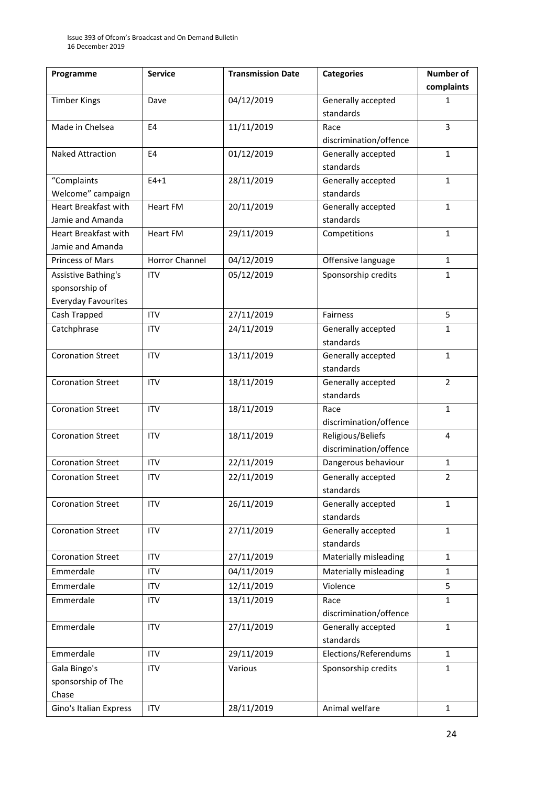| Programme                  | <b>Service</b>        | <b>Transmission Date</b> | <b>Categories</b>      | <b>Number of</b> |
|----------------------------|-----------------------|--------------------------|------------------------|------------------|
|                            |                       |                          |                        | complaints       |
| <b>Timber Kings</b>        | Dave                  | 04/12/2019               | Generally accepted     | 1                |
|                            |                       |                          | standards              |                  |
| Made in Chelsea            | E4                    | 11/11/2019               | Race                   | 3                |
|                            |                       |                          | discrimination/offence |                  |
| <b>Naked Attraction</b>    | E4                    | 01/12/2019               | Generally accepted     | $\mathbf{1}$     |
|                            |                       |                          | standards              |                  |
| "Complaints                | $E4+1$                | 28/11/2019               | Generally accepted     | $\mathbf{1}$     |
| Welcome" campaign          |                       |                          | standards              |                  |
| Heart Breakfast with       | <b>Heart FM</b>       | 20/11/2019               | Generally accepted     | $\mathbf{1}$     |
| Jamie and Amanda           |                       |                          | standards              |                  |
| Heart Breakfast with       | <b>Heart FM</b>       | 29/11/2019               | Competitions           | $\mathbf{1}$     |
| Jamie and Amanda           |                       |                          |                        |                  |
| Princess of Mars           | <b>Horror Channel</b> | 04/12/2019               | Offensive language     | $\mathbf{1}$     |
| Assistive Bathing's        | <b>ITV</b>            | 05/12/2019               | Sponsorship credits    | $\mathbf{1}$     |
| sponsorship of             |                       |                          |                        |                  |
| <b>Everyday Favourites</b> |                       |                          |                        |                  |
| Cash Trapped               | <b>ITV</b>            | 27/11/2019               | Fairness               | 5                |
| Catchphrase                | <b>ITV</b>            | 24/11/2019               | Generally accepted     | $\mathbf{1}$     |
|                            |                       |                          | standards              |                  |
| <b>Coronation Street</b>   | <b>ITV</b>            | 13/11/2019               | Generally accepted     | $\mathbf{1}$     |
|                            |                       |                          | standards              |                  |
| <b>Coronation Street</b>   | <b>ITV</b>            | 18/11/2019               | Generally accepted     | $\overline{2}$   |
|                            |                       |                          | standards              |                  |
| <b>Coronation Street</b>   | <b>ITV</b>            | 18/11/2019               | Race                   | $\mathbf{1}$     |
|                            |                       |                          | discrimination/offence |                  |
| <b>Coronation Street</b>   | <b>ITV</b>            | 18/11/2019               | Religious/Beliefs      | 4                |
|                            |                       |                          | discrimination/offence |                  |
| <b>Coronation Street</b>   | <b>ITV</b>            | 22/11/2019               | Dangerous behaviour    | $\mathbf{1}$     |
| <b>Coronation Street</b>   | <b>ITV</b>            | 22/11/2019               | Generally accepted     | $\overline{2}$   |
|                            |                       |                          | standards              |                  |
| <b>Coronation Street</b>   | <b>ITV</b>            | 26/11/2019               | Generally accepted     | 1                |
|                            |                       |                          | standards              |                  |
| <b>Coronation Street</b>   | <b>ITV</b>            | 27/11/2019               | Generally accepted     | $\mathbf{1}$     |
|                            |                       |                          | standards              |                  |
| <b>Coronation Street</b>   | <b>ITV</b>            | 27/11/2019               | Materially misleading  | $\mathbf{1}$     |
| Emmerdale                  | <b>ITV</b>            | 04/11/2019               | Materially misleading  | $\mathbf{1}$     |
| Emmerdale                  | <b>ITV</b>            | 12/11/2019               | Violence               | 5                |
| Emmerdale                  | <b>ITV</b>            | 13/11/2019               | Race                   | $\mathbf{1}$     |
|                            |                       |                          | discrimination/offence |                  |
| Emmerdale                  | <b>ITV</b>            | 27/11/2019               | Generally accepted     | $\mathbf{1}$     |
|                            |                       |                          | standards              |                  |
| Emmerdale                  | <b>ITV</b>            | 29/11/2019               | Elections/Referendums  | $\mathbf{1}$     |
| Gala Bingo's               | <b>ITV</b>            | Various                  | Sponsorship credits    | $\mathbf{1}$     |
| sponsorship of The         |                       |                          |                        |                  |
| Chase                      |                       |                          |                        |                  |
| Gino's Italian Express     | <b>ITV</b>            | 28/11/2019               | Animal welfare         | $\mathbf{1}$     |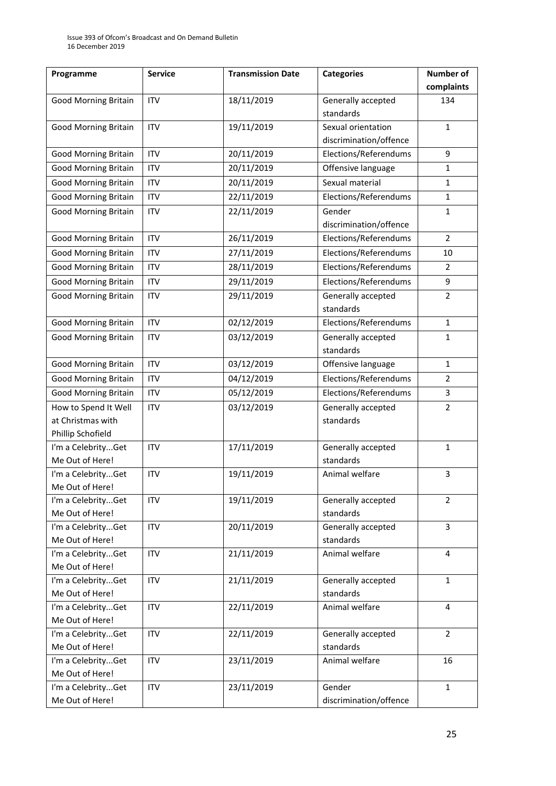| Programme                   | <b>Service</b> | <b>Transmission Date</b> | <b>Categories</b>      | Number of      |
|-----------------------------|----------------|--------------------------|------------------------|----------------|
|                             |                |                          |                        | complaints     |
| <b>Good Morning Britain</b> | <b>ITV</b>     | 18/11/2019               | Generally accepted     | 134            |
|                             |                |                          | standards              |                |
| <b>Good Morning Britain</b> | <b>ITV</b>     | 19/11/2019               | Sexual orientation     | $\mathbf{1}$   |
|                             |                |                          | discrimination/offence |                |
| <b>Good Morning Britain</b> | <b>ITV</b>     | 20/11/2019               | Elections/Referendums  | 9              |
| <b>Good Morning Britain</b> | <b>ITV</b>     | 20/11/2019               | Offensive language     | $\mathbf{1}$   |
| <b>Good Morning Britain</b> | <b>ITV</b>     | 20/11/2019               | Sexual material        | $\mathbf{1}$   |
| <b>Good Morning Britain</b> | <b>ITV</b>     | 22/11/2019               | Elections/Referendums  | $\mathbf{1}$   |
| <b>Good Morning Britain</b> | <b>ITV</b>     | 22/11/2019               | Gender                 | $\mathbf{1}$   |
|                             |                |                          | discrimination/offence |                |
| <b>Good Morning Britain</b> | <b>ITV</b>     | 26/11/2019               | Elections/Referendums  | $\overline{2}$ |
| <b>Good Morning Britain</b> | <b>ITV</b>     | 27/11/2019               | Elections/Referendums  | 10             |
| <b>Good Morning Britain</b> | <b>ITV</b>     | 28/11/2019               | Elections/Referendums  | $\overline{2}$ |
| <b>Good Morning Britain</b> | <b>ITV</b>     | 29/11/2019               | Elections/Referendums  | 9              |
| <b>Good Morning Britain</b> | <b>ITV</b>     | 29/11/2019               | Generally accepted     | $\overline{2}$ |
|                             |                |                          | standards              |                |
| <b>Good Morning Britain</b> | <b>ITV</b>     | 02/12/2019               | Elections/Referendums  | $\mathbf{1}$   |
| <b>Good Morning Britain</b> | <b>ITV</b>     | 03/12/2019               | Generally accepted     | $\mathbf{1}$   |
|                             |                |                          | standards              |                |
| <b>Good Morning Britain</b> | <b>ITV</b>     | 03/12/2019               | Offensive language     | $\mathbf{1}$   |
| <b>Good Morning Britain</b> | <b>ITV</b>     | 04/12/2019               | Elections/Referendums  | $\overline{2}$ |
| <b>Good Morning Britain</b> | <b>ITV</b>     | 05/12/2019               | Elections/Referendums  | 3              |
| How to Spend It Well        | <b>ITV</b>     | 03/12/2019               | Generally accepted     | $\overline{2}$ |
| at Christmas with           |                |                          | standards              |                |
| Phillip Schofield           |                |                          |                        |                |
| I'm a CelebrityGet          | <b>ITV</b>     | 17/11/2019               | Generally accepted     | $\mathbf{1}$   |
| Me Out of Here!             |                |                          | standards              |                |
| I'm a CelebrityGet          | <b>ITV</b>     | 19/11/2019               | Animal welfare         | 3              |
| Me Out of Here!             |                |                          |                        |                |
| I'm a CelebrityGet          | <b>ITV</b>     | 19/11/2019               | Generally accepted     | $\overline{2}$ |
| Me Out of Here!             |                |                          | standards              |                |
| I'm a CelebrityGet          | <b>ITV</b>     | 20/11/2019               | Generally accepted     | $\overline{3}$ |
| Me Out of Here!             |                |                          | standards              |                |
| I'm a CelebrityGet          | <b>ITV</b>     | 21/11/2019               | Animal welfare         | 4              |
| Me Out of Here!             |                |                          |                        |                |
| I'm a CelebrityGet          | <b>ITV</b>     | 21/11/2019               | Generally accepted     | $\mathbf{1}$   |
| Me Out of Here!             |                |                          | standards              |                |
| I'm a CelebrityGet          | <b>ITV</b>     | 22/11/2019               | Animal welfare         | $\overline{4}$ |
| Me Out of Here!             |                |                          |                        |                |
| I'm a CelebrityGet          | <b>ITV</b>     | 22/11/2019               | Generally accepted     | $\overline{2}$ |
| Me Out of Here!             |                |                          | standards              |                |
| I'm a CelebrityGet          | <b>ITV</b>     | 23/11/2019               | Animal welfare         | 16             |
| Me Out of Here!             |                |                          |                        |                |
| I'm a CelebrityGet          | <b>ITV</b>     | 23/11/2019               | Gender                 | $\mathbf{1}$   |
| Me Out of Here!             |                |                          | discrimination/offence |                |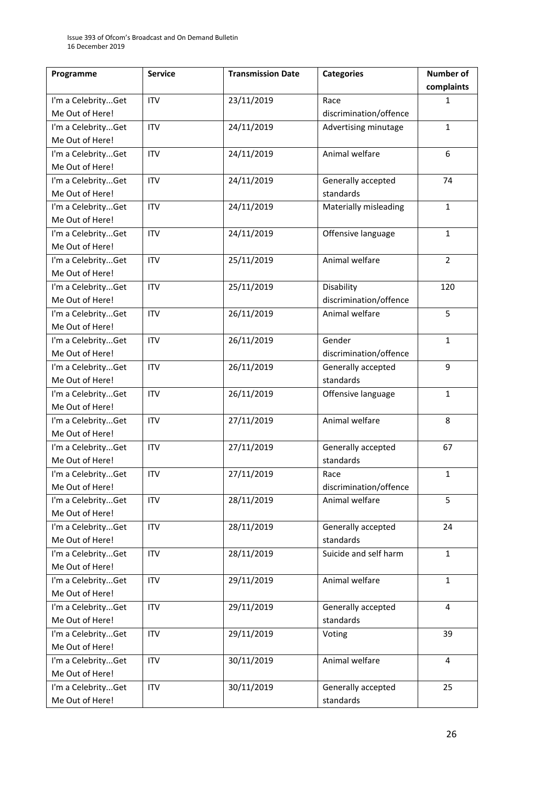| Programme          | <b>Service</b> | <b>Transmission Date</b> | <b>Categories</b>      | <b>Number of</b> |
|--------------------|----------------|--------------------------|------------------------|------------------|
|                    |                |                          |                        | complaints       |
| I'm a CelebrityGet | <b>ITV</b>     | 23/11/2019               | Race                   | 1                |
| Me Out of Here!    |                |                          | discrimination/offence |                  |
| I'm a CelebrityGet | <b>ITV</b>     | 24/11/2019               | Advertising minutage   | $\mathbf{1}$     |
| Me Out of Here!    |                |                          |                        |                  |
| I'm a CelebrityGet | <b>ITV</b>     | 24/11/2019               | Animal welfare         | 6                |
| Me Out of Here!    |                |                          |                        |                  |
| I'm a CelebrityGet | <b>ITV</b>     | 24/11/2019               | Generally accepted     | 74               |
| Me Out of Here!    |                |                          | standards              |                  |
| I'm a CelebrityGet | <b>ITV</b>     | 24/11/2019               | Materially misleading  | $\mathbf 1$      |
| Me Out of Here!    |                |                          |                        |                  |
| I'm a CelebrityGet | <b>ITV</b>     | 24/11/2019               | Offensive language     | $\mathbf{1}$     |
| Me Out of Here!    |                |                          |                        |                  |
| I'm a CelebrityGet | <b>ITV</b>     | 25/11/2019               | Animal welfare         | $\overline{2}$   |
| Me Out of Here!    |                |                          |                        |                  |
| I'm a CelebrityGet | <b>ITV</b>     | 25/11/2019               | Disability             | 120              |
| Me Out of Here!    |                |                          | discrimination/offence |                  |
| I'm a CelebrityGet | <b>ITV</b>     | 26/11/2019               | Animal welfare         | 5                |
| Me Out of Here!    |                |                          |                        |                  |
| I'm a CelebrityGet | <b>ITV</b>     | 26/11/2019               | Gender                 | $\mathbf{1}$     |
| Me Out of Here!    |                |                          | discrimination/offence |                  |
| I'm a CelebrityGet | <b>ITV</b>     | 26/11/2019               | Generally accepted     | 9                |
| Me Out of Here!    |                |                          | standards              |                  |
| I'm a CelebrityGet | <b>ITV</b>     | 26/11/2019               | Offensive language     | $\mathbf{1}$     |
| Me Out of Here!    |                |                          |                        |                  |
| I'm a CelebrityGet | <b>ITV</b>     | 27/11/2019               | Animal welfare         | 8                |
| Me Out of Here!    |                |                          |                        |                  |
| I'm a CelebrityGet | <b>ITV</b>     | 27/11/2019               | Generally accepted     | 67               |
| Me Out of Here!    |                |                          | standards              |                  |
| I'm a CelebrityGet | <b>ITV</b>     | 27/11/2019               | Race                   | $\mathbf{1}$     |
| Me Out of Here!    |                |                          | discrimination/offence |                  |
| I'm a CelebrityGet | <b>ITV</b>     | 28/11/2019               | Animal welfare         | 5                |
| Me Out of Here!    |                |                          |                        |                  |
| I'm a CelebrityGet | <b>ITV</b>     | 28/11/2019               | Generally accepted     | 24               |
| Me Out of Here!    |                |                          | standards              |                  |
| I'm a CelebrityGet | <b>ITV</b>     | 28/11/2019               | Suicide and self harm  | $\mathbf{1}$     |
| Me Out of Here!    |                |                          |                        |                  |
| I'm a CelebrityGet | <b>ITV</b>     | 29/11/2019               | Animal welfare         | $\mathbf{1}$     |
| Me Out of Here!    |                |                          |                        |                  |
| I'm a CelebrityGet | <b>ITV</b>     | 29/11/2019               | Generally accepted     | $\overline{4}$   |
| Me Out of Here!    |                |                          | standards              |                  |
| I'm a CelebrityGet | <b>ITV</b>     | 29/11/2019               | Voting                 | 39               |
| Me Out of Here!    |                |                          |                        |                  |
| I'm a CelebrityGet | <b>ITV</b>     | 30/11/2019               | Animal welfare         | 4                |
| Me Out of Here!    |                |                          |                        |                  |
| I'm a CelebrityGet | <b>ITV</b>     | 30/11/2019               | Generally accepted     | 25               |
| Me Out of Here!    |                |                          | standards              |                  |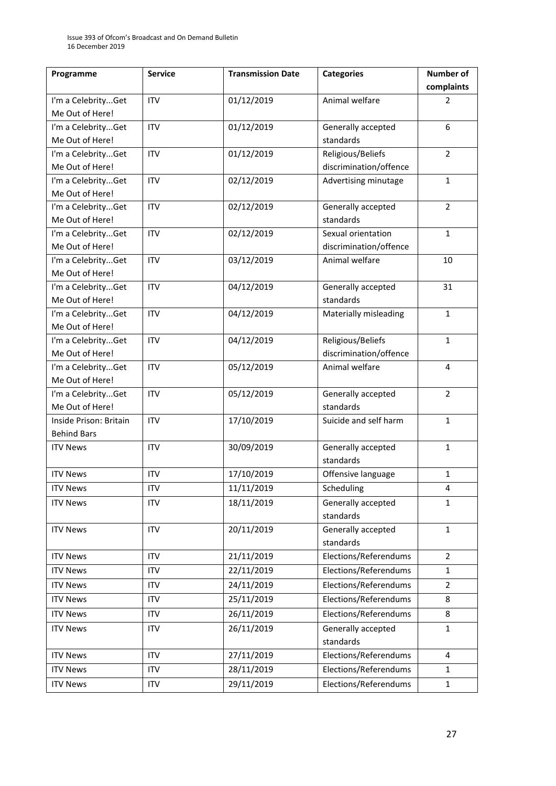| Programme                                    | <b>Service</b> | <b>Transmission Date</b> | <b>Categories</b>      | Number of      |
|----------------------------------------------|----------------|--------------------------|------------------------|----------------|
|                                              |                |                          |                        | complaints     |
| I'm a CelebrityGet                           | <b>ITV</b>     | 01/12/2019               | Animal welfare         | 2              |
| Me Out of Here!                              |                |                          |                        |                |
| I'm a CelebrityGet                           | <b>ITV</b>     | 01/12/2019               | Generally accepted     | 6              |
| Me Out of Here!                              |                |                          | standards              |                |
| I'm a CelebrityGet                           | <b>ITV</b>     | 01/12/2019               | Religious/Beliefs      | $\overline{2}$ |
| Me Out of Here!                              |                |                          | discrimination/offence |                |
| I'm a CelebrityGet                           | <b>ITV</b>     | 02/12/2019               | Advertising minutage   | $\mathbf{1}$   |
| Me Out of Here!                              |                |                          |                        |                |
| I'm a CelebrityGet                           | <b>ITV</b>     | 02/12/2019               | Generally accepted     | $\overline{2}$ |
| Me Out of Here!                              |                |                          | standards              |                |
| I'm a CelebrityGet                           | <b>ITV</b>     | 02/12/2019               | Sexual orientation     | $\mathbf{1}$   |
| Me Out of Here!                              |                |                          | discrimination/offence |                |
| I'm a CelebrityGet                           | <b>ITV</b>     | 03/12/2019               | Animal welfare         | 10             |
| Me Out of Here!                              |                |                          |                        |                |
| I'm a CelebrityGet                           | <b>ITV</b>     | 04/12/2019               | Generally accepted     | 31             |
| Me Out of Here!                              |                |                          | standards              |                |
| I'm a CelebrityGet                           | <b>ITV</b>     | 04/12/2019               | Materially misleading  | $\mathbf{1}$   |
| Me Out of Here!                              |                |                          |                        |                |
| I'm a CelebrityGet                           | <b>ITV</b>     | 04/12/2019               | Religious/Beliefs      | $\mathbf{1}$   |
| Me Out of Here!                              |                |                          | discrimination/offence |                |
| I'm a CelebrityGet                           | <b>ITV</b>     | 05/12/2019               | Animal welfare         | $\overline{4}$ |
| Me Out of Here!                              |                |                          |                        |                |
| I'm a CelebrityGet                           | <b>ITV</b>     | 05/12/2019               | Generally accepted     | $\overline{2}$ |
| Me Out of Here!                              |                |                          | standards              |                |
| Inside Prison: Britain<br><b>Behind Bars</b> | <b>ITV</b>     | 17/10/2019               | Suicide and self harm  | $\mathbf{1}$   |
| <b>ITV News</b>                              | <b>ITV</b>     | 30/09/2019               | Generally accepted     | $\mathbf{1}$   |
|                                              |                |                          | standards              |                |
| <b>ITV News</b>                              | <b>ITV</b>     | 17/10/2019               | Offensive language     | $\mathbf{1}$   |
| <b>ITV News</b>                              | <b>ITV</b>     | 11/11/2019               | Scheduling             | $\overline{4}$ |
| <b>ITV News</b>                              | <b>ITV</b>     | 18/11/2019               | Generally accepted     | $\mathbf{1}$   |
|                                              |                |                          | standards              |                |
| <b>ITV News</b>                              | <b>ITV</b>     | 20/11/2019               | Generally accepted     | $\mathbf{1}$   |
|                                              |                |                          | standards              |                |
| <b>ITV News</b>                              | <b>ITV</b>     | 21/11/2019               | Elections/Referendums  | $\overline{2}$ |
| <b>ITV News</b>                              | <b>ITV</b>     | 22/11/2019               | Elections/Referendums  | $\mathbf{1}$   |
| <b>ITV News</b>                              | <b>ITV</b>     | 24/11/2019               | Elections/Referendums  | $\overline{2}$ |
| <b>ITV News</b>                              | <b>ITV</b>     | 25/11/2019               | Elections/Referendums  | 8              |
| <b>ITV News</b>                              | <b>ITV</b>     | 26/11/2019               | Elections/Referendums  | 8              |
| <b>ITV News</b>                              | <b>ITV</b>     | 26/11/2019               | Generally accepted     | $\mathbf{1}$   |
|                                              |                |                          | standards              |                |
| <b>ITV News</b>                              | <b>ITV</b>     | 27/11/2019               | Elections/Referendums  | 4              |
| <b>ITV News</b>                              | <b>ITV</b>     | 28/11/2019               | Elections/Referendums  | $\mathbf{1}$   |
| <b>ITV News</b>                              | <b>ITV</b>     | 29/11/2019               | Elections/Referendums  | $\mathbf{1}$   |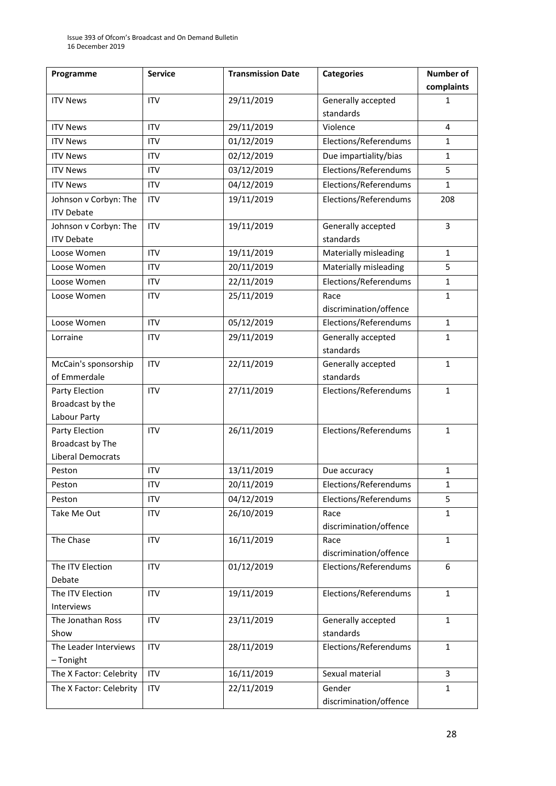| Programme                                  | <b>Service</b> | <b>Transmission Date</b> | <b>Categories</b>               | Number of      |
|--------------------------------------------|----------------|--------------------------|---------------------------------|----------------|
|                                            |                |                          |                                 | complaints     |
| <b>ITV News</b>                            | <b>ITV</b>     | 29/11/2019               | Generally accepted              | 1              |
|                                            |                |                          | standards                       |                |
| <b>ITV News</b>                            | <b>ITV</b>     | 29/11/2019               | Violence                        | $\overline{4}$ |
| <b>ITV News</b>                            | <b>ITV</b>     | 01/12/2019               | Elections/Referendums           | $\mathbf{1}$   |
| <b>ITV News</b>                            | <b>ITV</b>     | 02/12/2019               | Due impartiality/bias           | $\mathbf{1}$   |
| <b>ITV News</b>                            | <b>ITV</b>     | 03/12/2019               | Elections/Referendums           | 5              |
| <b>ITV News</b>                            | <b>ITV</b>     | 04/12/2019               | Elections/Referendums           | $\mathbf{1}$   |
| Johnson v Corbyn: The<br><b>ITV Debate</b> | <b>ITV</b>     | 19/11/2019               | Elections/Referendums           | 208            |
| Johnson v Corbyn: The<br><b>ITV Debate</b> | <b>ITV</b>     | 19/11/2019               | Generally accepted<br>standards | 3              |
| Loose Women                                | <b>ITV</b>     | 19/11/2019               | Materially misleading           | $\mathbf{1}$   |
| Loose Women                                | <b>ITV</b>     | 20/11/2019               | Materially misleading           | 5              |
| Loose Women                                | <b>ITV</b>     | 22/11/2019               | Elections/Referendums           | $\mathbf{1}$   |
| Loose Women                                | <b>ITV</b>     | 25/11/2019               | Race                            | $\mathbf{1}$   |
|                                            |                |                          | discrimination/offence          |                |
| Loose Women                                | <b>ITV</b>     | 05/12/2019               | Elections/Referendums           | $\mathbf{1}$   |
| Lorraine                                   | <b>ITV</b>     | 29/11/2019               | Generally accepted              | $\mathbf{1}$   |
|                                            |                |                          | standards                       |                |
| McCain's sponsorship                       | <b>ITV</b>     | 22/11/2019               | Generally accepted              | $\mathbf{1}$   |
| of Emmerdale                               |                |                          | standards                       |                |
| Party Election                             | <b>ITV</b>     | 27/11/2019               | Elections/Referendums           | $\mathbf{1}$   |
| Broadcast by the                           |                |                          |                                 |                |
| Labour Party<br>Party Election             | <b>ITV</b>     | 26/11/2019               | Elections/Referendums           | $\mathbf{1}$   |
| Broadcast by The                           |                |                          |                                 |                |
| Liberal Democrats                          |                |                          |                                 |                |
| Peston                                     | <b>ITV</b>     | 13/11/2019               | Due accuracy                    | $\mathbf{1}$   |
| Peston                                     | ITV            | 20/11/2019               | Elections/Referendums           | 1              |
| Peston                                     | <b>ITV</b>     | 04/12/2019               | Elections/Referendums           | 5              |
| Take Me Out                                | <b>ITV</b>     | 26/10/2019               | Race                            | $\mathbf{1}$   |
|                                            |                |                          | discrimination/offence          |                |
| The Chase                                  | <b>ITV</b>     | 16/11/2019               | Race                            | $\mathbf{1}$   |
|                                            |                |                          | discrimination/offence          |                |
| The ITV Election                           | <b>ITV</b>     | 01/12/2019               | Elections/Referendums           | 6              |
| Debate                                     |                |                          |                                 |                |
| The ITV Election                           | <b>ITV</b>     | 19/11/2019               | Elections/Referendums           | $\mathbf{1}$   |
| Interviews                                 |                |                          |                                 |                |
| The Jonathan Ross                          | <b>ITV</b>     | 23/11/2019               | Generally accepted              | $\mathbf{1}$   |
| Show                                       |                |                          | standards                       |                |
| The Leader Interviews<br>- Tonight         | <b>ITV</b>     | 28/11/2019               | Elections/Referendums           | $\mathbf{1}$   |
| The X Factor: Celebrity                    | <b>ITV</b>     | 16/11/2019               | Sexual material                 | 3              |
| The X Factor: Celebrity                    | <b>ITV</b>     | 22/11/2019               | Gender                          | $\mathbf{1}$   |
|                                            |                |                          | discrimination/offence          |                |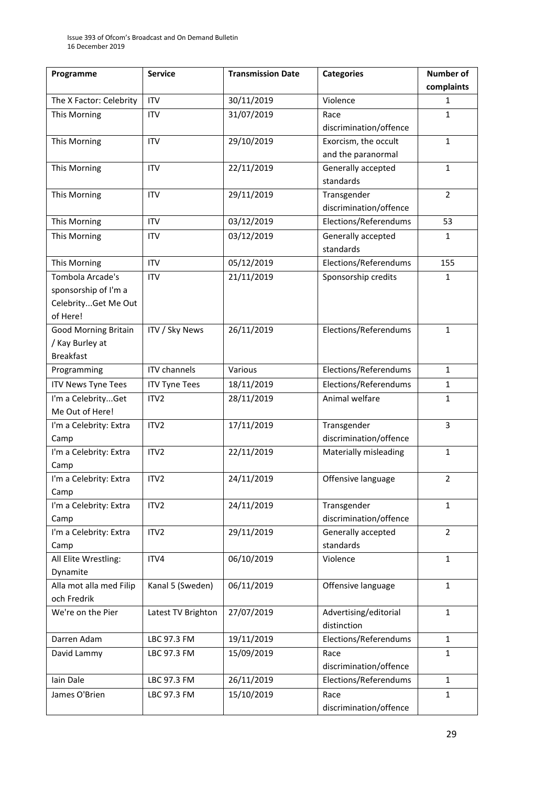| Programme                   | <b>Service</b>       | <b>Transmission Date</b> | <b>Categories</b>      | Number of      |
|-----------------------------|----------------------|--------------------------|------------------------|----------------|
|                             |                      |                          |                        | complaints     |
| The X Factor: Celebrity     | <b>ITV</b>           | 30/11/2019               | Violence               | 1              |
| This Morning                | <b>ITV</b>           | 31/07/2019               | Race                   | $\mathbf{1}$   |
|                             |                      |                          | discrimination/offence |                |
| This Morning                | <b>ITV</b>           | 29/10/2019               | Exorcism, the occult   | $\mathbf{1}$   |
|                             |                      |                          | and the paranormal     |                |
| This Morning                | <b>ITV</b>           | 22/11/2019               | Generally accepted     | $\mathbf{1}$   |
|                             |                      |                          | standards              |                |
| This Morning                | <b>ITV</b>           | 29/11/2019               | Transgender            | $\overline{2}$ |
|                             |                      |                          | discrimination/offence |                |
| This Morning                | <b>ITV</b>           | 03/12/2019               | Elections/Referendums  | 53             |
| This Morning                | <b>ITV</b>           | 03/12/2019               | Generally accepted     | 1              |
|                             |                      |                          | standards              |                |
| This Morning                | <b>ITV</b>           | 05/12/2019               | Elections/Referendums  | 155            |
| <b>Tombola Arcade's</b>     | <b>ITV</b>           | 21/11/2019               | Sponsorship credits    | $\mathbf{1}$   |
| sponsorship of I'm a        |                      |                          |                        |                |
| CelebrityGet Me Out         |                      |                          |                        |                |
| of Here!                    |                      |                          |                        |                |
| <b>Good Morning Britain</b> | ITV / Sky News       | 26/11/2019               | Elections/Referendums  | $\mathbf{1}$   |
| / Kay Burley at             |                      |                          |                        |                |
| <b>Breakfast</b>            |                      |                          |                        |                |
| Programming                 | <b>ITV</b> channels  | Various                  | Elections/Referendums  | $\mathbf{1}$   |
| <b>ITV News Tyne Tees</b>   | <b>ITV Tyne Tees</b> | 18/11/2019               | Elections/Referendums  | $\mathbf{1}$   |
| I'm a CelebrityGet          | ITV <sub>2</sub>     | 28/11/2019               | Animal welfare         | $\mathbf{1}$   |
| Me Out of Here!             |                      |                          |                        |                |
| I'm a Celebrity: Extra      | ITV <sub>2</sub>     | 17/11/2019               | Transgender            | 3              |
| Camp                        |                      |                          | discrimination/offence |                |
| I'm a Celebrity: Extra      | ITV2                 | 22/11/2019               | Materially misleading  | $\mathbf{1}$   |
| Camp                        |                      |                          |                        |                |
| I'm a Celebrity: Extra      | ITV2                 | 24/11/2019               | Offensive language     | $\overline{2}$ |
| Camp                        |                      |                          |                        |                |
| I'm a Celebrity: Extra      | ITV <sub>2</sub>     | 24/11/2019               | Transgender            | $\mathbf{1}$   |
| Camp                        |                      |                          | discrimination/offence |                |
| I'm a Celebrity: Extra      | ITV2                 | 29/11/2019               | Generally accepted     | $\overline{2}$ |
| Camp                        |                      |                          | standards              |                |
| All Elite Wrestling:        | ITV4                 | 06/10/2019               | Violence               | $\mathbf{1}$   |
| Dynamite                    |                      |                          |                        |                |
| Alla mot alla med Filip     | Kanal 5 (Sweden)     | 06/11/2019               | Offensive language     | $\mathbf{1}$   |
| och Fredrik                 |                      |                          |                        |                |
| We're on the Pier           | Latest TV Brighton   | 27/07/2019               | Advertising/editorial  | $\mathbf{1}$   |
|                             |                      |                          | distinction            |                |
| Darren Adam                 | LBC 97.3 FM          | 19/11/2019               | Elections/Referendums  | $\mathbf{1}$   |
| David Lammy                 | LBC 97.3 FM          | 15/09/2019               | Race                   | $\mathbf{1}$   |
|                             |                      |                          | discrimination/offence |                |
| Iain Dale                   | LBC 97.3 FM          | 26/11/2019               | Elections/Referendums  | $\mathbf{1}$   |
| James O'Brien               | LBC 97.3 FM          | 15/10/2019               | Race                   | $\mathbf{1}$   |
|                             |                      |                          | discrimination/offence |                |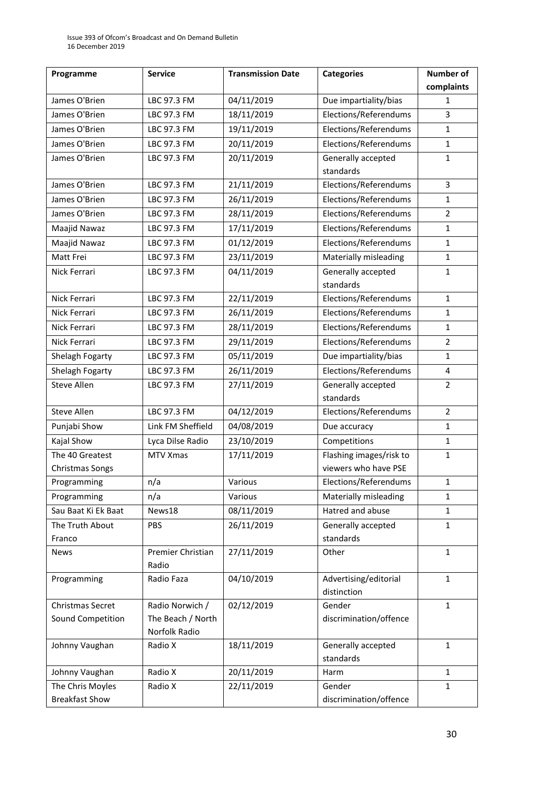| Programme             | <b>Service</b>    | <b>Transmission Date</b> | <b>Categories</b>                    | <b>Number of</b> |
|-----------------------|-------------------|--------------------------|--------------------------------------|------------------|
|                       |                   |                          |                                      | complaints       |
| James O'Brien         | LBC 97.3 FM       | 04/11/2019               | Due impartiality/bias                | $\mathbf{1}$     |
| James O'Brien         | LBC 97.3 FM       | 18/11/2019               | Elections/Referendums                | 3                |
| James O'Brien         | LBC 97.3 FM       | 19/11/2019               | Elections/Referendums                | $\mathbf{1}$     |
| James O'Brien         | LBC 97.3 FM       | 20/11/2019               | Elections/Referendums                | $\mathbf{1}$     |
| James O'Brien         | LBC 97.3 FM       | 20/11/2019               | Generally accepted                   | $\mathbf{1}$     |
|                       |                   |                          | standards                            |                  |
| James O'Brien         | LBC 97.3 FM       | 21/11/2019               | Elections/Referendums                | 3                |
| James O'Brien         | LBC 97.3 FM       | 26/11/2019               | Elections/Referendums                | $\mathbf{1}$     |
| James O'Brien         | LBC 97.3 FM       | 28/11/2019               | Elections/Referendums                | $\overline{2}$   |
| Maajid Nawaz          | LBC 97.3 FM       | 17/11/2019               | Elections/Referendums                | $\mathbf{1}$     |
| Maajid Nawaz          | LBC 97.3 FM       | 01/12/2019               | Elections/Referendums                | $\mathbf{1}$     |
| Matt Frei             | LBC 97.3 FM       | 23/11/2019               | Materially misleading                | $\mathbf 1$      |
| Nick Ferrari          | LBC 97.3 FM       | 04/11/2019               | Generally accepted                   | $\mathbf{1}$     |
|                       |                   |                          | standards                            |                  |
| Nick Ferrari          | LBC 97.3 FM       | 22/11/2019               | Elections/Referendums                | $\mathbf{1}$     |
| Nick Ferrari          | LBC 97.3 FM       | 26/11/2019               | Elections/Referendums                | $\mathbf{1}$     |
| Nick Ferrari          | LBC 97.3 FM       | 28/11/2019               | Elections/Referendums                | $\mathbf{1}$     |
| Nick Ferrari          | LBC 97.3 FM       | 29/11/2019               | Elections/Referendums                | $\overline{2}$   |
| Shelagh Fogarty       | LBC 97.3 FM       | 05/11/2019               | Due impartiality/bias                | $\mathbf{1}$     |
| Shelagh Fogarty       | LBC 97.3 FM       | 26/11/2019               | Elections/Referendums                | 4                |
| <b>Steve Allen</b>    | LBC 97.3 FM       | 27/11/2019               | Generally accepted                   | $\overline{2}$   |
|                       |                   |                          | standards                            |                  |
| <b>Steve Allen</b>    | LBC 97.3 FM       | 04/12/2019               | Elections/Referendums                | $\overline{2}$   |
| Punjabi Show          | Link FM Sheffield | 04/08/2019               | Due accuracy                         | $\mathbf{1}$     |
| Kajal Show            | Lyca Dilse Radio  | 23/10/2019               | Competitions                         | $\mathbf{1}$     |
| The 40 Greatest       | MTV Xmas          | 17/11/2019               | Flashing images/risk to              | $\mathbf{1}$     |
| Christmas Songs       |                   |                          | viewers who have PSE                 |                  |
| Programming           | n/a               | Various                  | Elections/Referendums                | $\mathbf{1}$     |
| Programming           | n/a               | Various                  | Materially misleading                | $\mathbf{1}$     |
| Sau Baat Ki Ek Baat   | News18            | 08/11/2019               | Hatred and abuse                     | $\mathbf{1}$     |
| The Truth About       | PBS               | 26/11/2019               | Generally accepted                   | $\mathbf{1}$     |
| Franco                |                   |                          | standards                            |                  |
| <b>News</b>           | Premier Christian | 27/11/2019               | Other                                | $\mathbf{1}$     |
|                       | Radio             |                          |                                      |                  |
| Programming           | Radio Faza        | 04/10/2019               | Advertising/editorial<br>distinction | $\mathbf{1}$     |
| Christmas Secret      | Radio Norwich /   | 02/12/2019               | Gender                               | $\mathbf{1}$     |
| Sound Competition     | The Beach / North |                          | discrimination/offence               |                  |
|                       | Norfolk Radio     |                          |                                      |                  |
| Johnny Vaughan        | Radio X           | 18/11/2019               | Generally accepted                   | $\mathbf{1}$     |
|                       |                   |                          | standards                            |                  |
| Johnny Vaughan        | Radio X           | 20/11/2019               | Harm                                 | $\mathbf{1}$     |
| The Chris Moyles      | Radio X           | 22/11/2019               | Gender                               | $\mathbf{1}$     |
| <b>Breakfast Show</b> |                   |                          | discrimination/offence               |                  |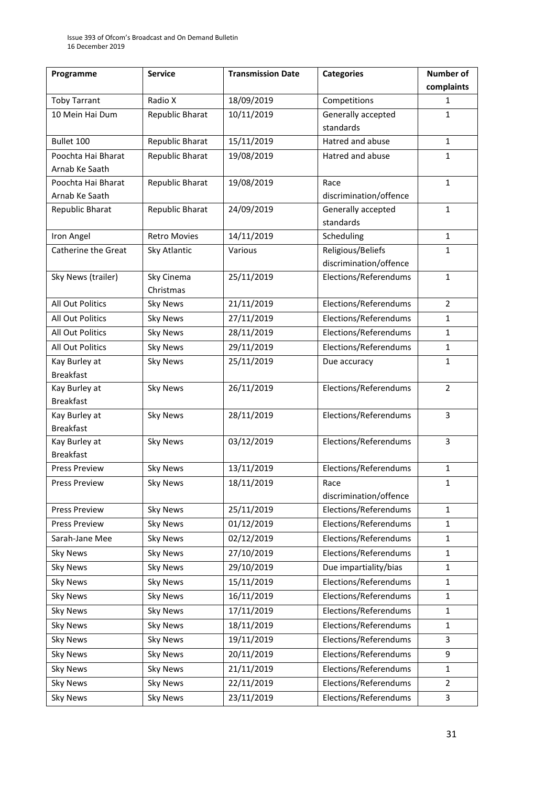| Programme                                | <b>Service</b>      | <b>Transmission Date</b> | <b>Categories</b>              | <b>Number of</b> |
|------------------------------------------|---------------------|--------------------------|--------------------------------|------------------|
|                                          |                     |                          |                                | complaints       |
| <b>Toby Tarrant</b>                      | Radio X             | 18/09/2019               | Competitions                   | 1                |
| 10 Mein Hai Dum                          | Republic Bharat     | 10/11/2019               | Generally accepted             | $\mathbf{1}$     |
|                                          |                     |                          | standards                      |                  |
| Bullet 100                               | Republic Bharat     | 15/11/2019               | Hatred and abuse               | $\mathbf{1}$     |
| Poochta Hai Bharat                       | Republic Bharat     | 19/08/2019               | Hatred and abuse               | $\mathbf{1}$     |
| Arnab Ke Saath                           |                     |                          |                                |                  |
| Poochta Hai Bharat                       | Republic Bharat     | 19/08/2019               | Race                           | $\mathbf{1}$     |
| Arnab Ke Saath                           |                     |                          | discrimination/offence         |                  |
| Republic Bharat                          | Republic Bharat     | 24/09/2019               | Generally accepted             | $\mathbf{1}$     |
|                                          |                     |                          | standards                      |                  |
| Iron Angel                               | <b>Retro Movies</b> | 14/11/2019               | Scheduling                     | $\mathbf{1}$     |
| Catherine the Great                      | Sky Atlantic        | Various                  | Religious/Beliefs              | $\mathbf{1}$     |
|                                          |                     |                          | discrimination/offence         |                  |
| Sky News (trailer)                       | Sky Cinema          | 25/11/2019               | Elections/Referendums          | $\mathbf{1}$     |
|                                          | Christmas           |                          |                                |                  |
| All Out Politics                         | <b>Sky News</b>     | 21/11/2019               | Elections/Referendums          | $\overline{2}$   |
| <b>All Out Politics</b>                  | <b>Sky News</b>     | 27/11/2019               | Elections/Referendums          | $\mathbf{1}$     |
| <b>All Out Politics</b>                  | <b>Sky News</b>     | 28/11/2019               | Elections/Referendums          | $\mathbf{1}$     |
| All Out Politics                         | <b>Sky News</b>     | 29/11/2019               | Elections/Referendums          | $\mathbf{1}$     |
| Kay Burley at                            | <b>Sky News</b>     | 25/11/2019               | Due accuracy                   | $\mathbf{1}$     |
| <b>Breakfast</b>                         |                     |                          |                                |                  |
| Kay Burley at                            | <b>Sky News</b>     | 26/11/2019               | Elections/Referendums          | $\overline{2}$   |
| <b>Breakfast</b>                         |                     |                          |                                |                  |
| Kay Burley at                            | <b>Sky News</b>     | 28/11/2019               | Elections/Referendums          | 3                |
| <b>Breakfast</b>                         |                     |                          |                                |                  |
| Kay Burley at                            | <b>Sky News</b>     | 03/12/2019               | Elections/Referendums          | $\overline{3}$   |
| <b>Breakfast</b><br><b>Press Preview</b> | <b>Sky News</b>     | 13/11/2019               | Elections/Referendums          | $\mathbf{1}$     |
|                                          |                     |                          |                                |                  |
| <b>Press Preview</b>                     | Sky News            | 18/11/2019               | Race<br>discrimination/offence | $\mathbf{1}$     |
| <b>Press Preview</b>                     | <b>Sky News</b>     | 25/11/2019               | Elections/Referendums          | $\mathbf{1}$     |
| <b>Press Preview</b>                     | <b>Sky News</b>     | 01/12/2019               | Elections/Referendums          | $\mathbf{1}$     |
|                                          |                     |                          |                                |                  |
| Sarah-Jane Mee                           | <b>Sky News</b>     | 02/12/2019               | Elections/Referendums          | 1                |
| <b>Sky News</b>                          | <b>Sky News</b>     | 27/10/2019               | Elections/Referendums          | $\mathbf{1}$     |
| <b>Sky News</b>                          | <b>Sky News</b>     | 29/10/2019               | Due impartiality/bias          | $\mathbf{1}$     |
| <b>Sky News</b>                          | <b>Sky News</b>     | 15/11/2019               | Elections/Referendums          | $\mathbf{1}$     |
| <b>Sky News</b>                          | <b>Sky News</b>     | 16/11/2019               | Elections/Referendums          | $\mathbf{1}$     |
| <b>Sky News</b>                          | <b>Sky News</b>     | 17/11/2019               | Elections/Referendums          | $\mathbf{1}$     |
| <b>Sky News</b>                          | <b>Sky News</b>     | 18/11/2019               | Elections/Referendums          | $\mathbf{1}$     |
| <b>Sky News</b>                          | <b>Sky News</b>     | 19/11/2019               | Elections/Referendums          | 3                |
| <b>Sky News</b>                          | <b>Sky News</b>     | 20/11/2019               | Elections/Referendums          | 9                |
| <b>Sky News</b>                          | <b>Sky News</b>     | 21/11/2019               | Elections/Referendums          | $\mathbf{1}$     |
| <b>Sky News</b>                          | <b>Sky News</b>     | 22/11/2019               | Elections/Referendums          | 2                |
| <b>Sky News</b>                          | <b>Sky News</b>     | 23/11/2019               | Elections/Referendums          | 3                |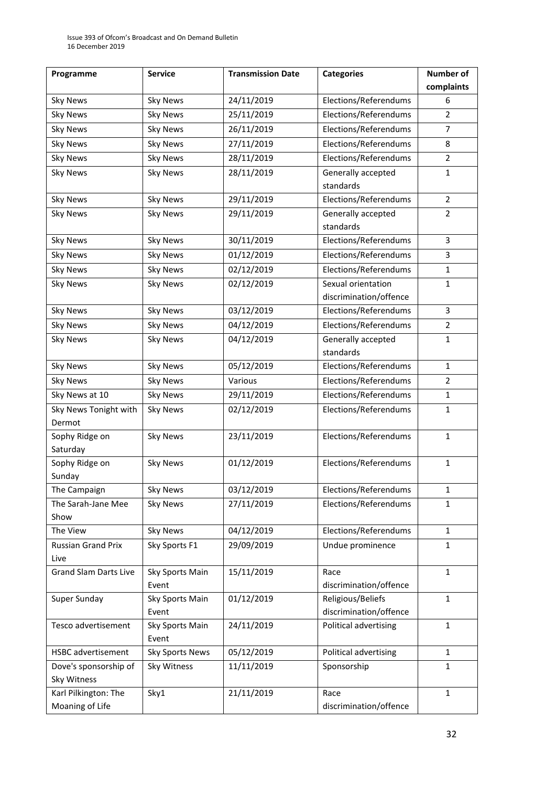| Programme                    | <b>Service</b>  | <b>Transmission Date</b> | <b>Categories</b>      | <b>Number of</b> |
|------------------------------|-----------------|--------------------------|------------------------|------------------|
|                              |                 |                          |                        | complaints       |
| <b>Sky News</b>              | <b>Sky News</b> | 24/11/2019               | Elections/Referendums  | 6                |
| <b>Sky News</b>              | <b>Sky News</b> | 25/11/2019               | Elections/Referendums  | $\overline{2}$   |
| <b>Sky News</b>              | <b>Sky News</b> | 26/11/2019               | Elections/Referendums  | 7                |
| <b>Sky News</b>              | <b>Sky News</b> | 27/11/2019               | Elections/Referendums  | 8                |
| <b>Sky News</b>              | <b>Sky News</b> | 28/11/2019               | Elections/Referendums  | $\overline{2}$   |
| <b>Sky News</b>              | <b>Sky News</b> | 28/11/2019               | Generally accepted     | $\mathbf{1}$     |
|                              |                 |                          | standards              |                  |
| <b>Sky News</b>              | <b>Sky News</b> | 29/11/2019               | Elections/Referendums  | $\overline{2}$   |
| <b>Sky News</b>              | <b>Sky News</b> | 29/11/2019               | Generally accepted     | $\overline{2}$   |
|                              |                 |                          | standards              |                  |
| <b>Sky News</b>              | <b>Sky News</b> | 30/11/2019               | Elections/Referendums  | 3                |
| <b>Sky News</b>              | <b>Sky News</b> | 01/12/2019               | Elections/Referendums  | 3                |
| <b>Sky News</b>              | <b>Sky News</b> | 02/12/2019               | Elections/Referendums  | $\mathbf{1}$     |
| <b>Sky News</b>              | <b>Sky News</b> | 02/12/2019               | Sexual orientation     | $\mathbf{1}$     |
|                              |                 |                          | discrimination/offence |                  |
| <b>Sky News</b>              | <b>Sky News</b> | 03/12/2019               | Elections/Referendums  | 3                |
| <b>Sky News</b>              | <b>Sky News</b> | 04/12/2019               | Elections/Referendums  | $\overline{2}$   |
| <b>Sky News</b>              | <b>Sky News</b> | 04/12/2019               | Generally accepted     | $\mathbf{1}$     |
|                              |                 |                          | standards              |                  |
| <b>Sky News</b>              | <b>Sky News</b> | 05/12/2019               | Elections/Referendums  | $\mathbf{1}$     |
| <b>Sky News</b>              | <b>Sky News</b> | Various                  | Elections/Referendums  | $\overline{2}$   |
| Sky News at 10               | <b>Sky News</b> | 29/11/2019               | Elections/Referendums  | $\mathbf{1}$     |
| Sky News Tonight with        | <b>Sky News</b> | 02/12/2019               | Elections/Referendums  | $\mathbf{1}$     |
| Dermot                       |                 |                          |                        |                  |
| Sophy Ridge on               | <b>Sky News</b> | 23/11/2019               | Elections/Referendums  | $\mathbf{1}$     |
| Saturday                     |                 |                          |                        |                  |
| Sophy Ridge on               | <b>Sky News</b> | 01/12/2019               | Elections/Referendums  | $\mathbf{1}$     |
| Sunday                       |                 | 03/12/2019               |                        |                  |
| The Campaign                 | <b>Sky News</b> |                          | Elections/Referendums  | $\mathbf{1}$     |
| The Sarah-Jane Mee           | <b>Sky News</b> | 27/11/2019               | Elections/Referendums  | 1                |
| Show<br>The View             | <b>Sky News</b> | 04/12/2019               | Elections/Referendums  | $\mathbf{1}$     |
| <b>Russian Grand Prix</b>    | Sky Sports F1   | 29/09/2019               |                        | $\mathbf{1}$     |
| Live                         |                 |                          | Undue prominence       |                  |
| <b>Grand Slam Darts Live</b> | Sky Sports Main | 15/11/2019               | Race                   | $\mathbf{1}$     |
|                              | Event           |                          | discrimination/offence |                  |
| Super Sunday                 | Sky Sports Main | 01/12/2019               | Religious/Beliefs      | $\mathbf{1}$     |
|                              | Event           |                          | discrimination/offence |                  |
| Tesco advertisement          | Sky Sports Main | 24/11/2019               | Political advertising  | $\mathbf{1}$     |
|                              | Event           |                          |                        |                  |
| <b>HSBC</b> advertisement    | Sky Sports News | 05/12/2019               | Political advertising  | $\mathbf{1}$     |
| Dove's sponsorship of        | Sky Witness     | 11/11/2019               | Sponsorship            | $\mathbf{1}$     |
| Sky Witness                  |                 |                          |                        |                  |
| Karl Pilkington: The         | Sky1            | 21/11/2019               | Race                   | $\mathbf{1}$     |
| Moaning of Life              |                 |                          | discrimination/offence |                  |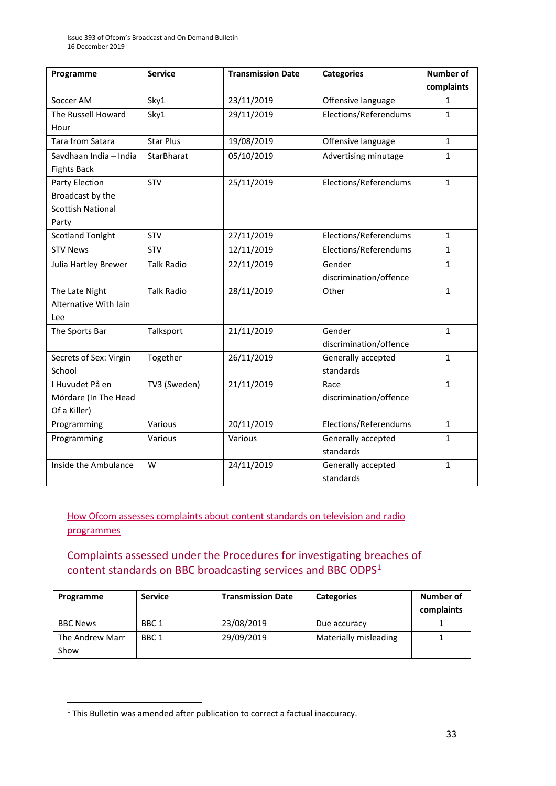| Programme                | <b>Service</b>    | <b>Transmission Date</b> | <b>Categories</b>      | <b>Number of</b> |
|--------------------------|-------------------|--------------------------|------------------------|------------------|
|                          |                   |                          |                        | complaints       |
| Soccer AM                | Sky1              | 23/11/2019               | Offensive language     | $\mathbf{1}$     |
| The Russell Howard       | Sky1              | 29/11/2019               | Elections/Referendums  | $\mathbf{1}$     |
| Hour                     |                   |                          |                        |                  |
| Tara from Satara         | <b>Star Plus</b>  | 19/08/2019               | Offensive language     | $\mathbf{1}$     |
| Savdhaan India - India   | StarBharat        | 05/10/2019               | Advertising minutage   | $\mathbf{1}$     |
| <b>Fights Back</b>       |                   |                          |                        |                  |
| Party Election           | STV               | 25/11/2019               | Elections/Referendums  | $\mathbf{1}$     |
| Broadcast by the         |                   |                          |                        |                  |
| <b>Scottish National</b> |                   |                          |                        |                  |
| Party                    |                   |                          |                        |                  |
| <b>Scotland Tonlght</b>  | <b>STV</b>        | 27/11/2019               | Elections/Referendums  | $\mathbf{1}$     |
| <b>STV News</b>          | STV               | 12/11/2019               | Elections/Referendums  | $\mathbf{1}$     |
| Julia Hartley Brewer     | <b>Talk Radio</b> | 22/11/2019               | Gender                 | $\mathbf{1}$     |
|                          |                   |                          | discrimination/offence |                  |
| The Late Night           | <b>Talk Radio</b> | 28/11/2019               | Other                  | $\mathbf{1}$     |
| Alternative With Iain    |                   |                          |                        |                  |
| Lee                      |                   |                          |                        |                  |
| The Sports Bar           | Talksport         | 21/11/2019               | Gender                 | $\mathbf{1}$     |
|                          |                   |                          | discrimination/offence |                  |
| Secrets of Sex: Virgin   | Together          | 26/11/2019               | Generally accepted     | $\mathbf{1}$     |
| School                   |                   |                          | standards              |                  |
| I Huvudet På en          | TV3 (Sweden)      | 21/11/2019               | Race                   | $\mathbf{1}$     |
| Mördare (In The Head     |                   |                          | discrimination/offence |                  |
| Of a Killer)             |                   |                          |                        |                  |
| Programming              | Various           | 20/11/2019               | Elections/Referendums  | $\mathbf{1}$     |
| Programming              | Various           | Various                  | Generally accepted     | $\mathbf{1}$     |
|                          |                   |                          | standards              |                  |
| Inside the Ambulance     | W                 | 24/11/2019               | Generally accepted     | $\mathbf{1}$     |
|                          |                   |                          | standards              |                  |

### [How Ofcom assesses complaints about content standards on television](https://www.ofcom.org.uk/__data/assets/pdf_file/0020/55109/breaches-content-standards.pdf) and radio [programmes](https://www.ofcom.org.uk/__data/assets/pdf_file/0020/55109/breaches-content-standards.pdf)

### Complaints assessed under the Procedures for investigating breaches of content standards on BBC broadcasting services and BBC ODPS<sup>1</sup>

| Programme       | <b>Service</b>   | <b>Transmission Date</b> | <b>Categories</b>     | Number of  |
|-----------------|------------------|--------------------------|-----------------------|------------|
|                 |                  |                          |                       | complaints |
| <b>BBC News</b> | BBC 1            | 23/08/2019               | Due accuracy          |            |
| The Andrew Marr | BBC <sub>1</sub> | 29/09/2019               | Materially misleading |            |
| Show            |                  |                          |                       |            |

**.** 

<sup>1</sup> This Bulletin was amended after publication to correct a factual inaccuracy.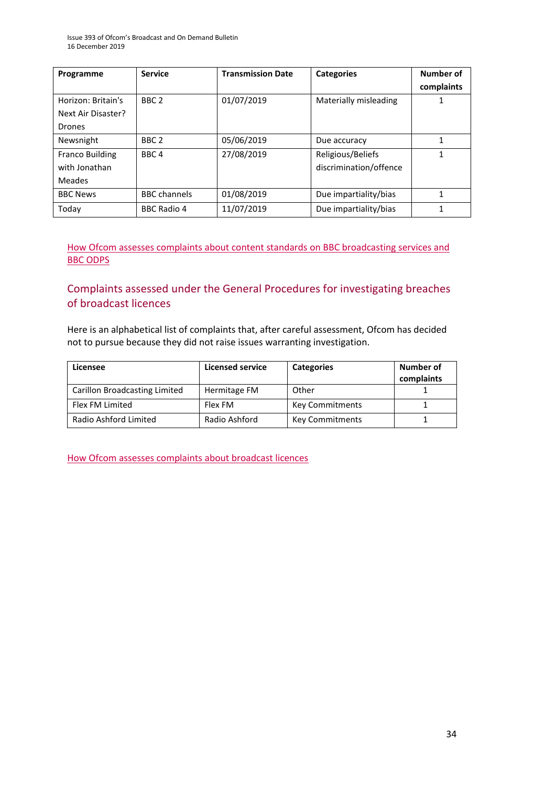| Programme                                          | <b>Service</b>      | <b>Transmission Date</b> | <b>Categories</b>                           | Number of<br>complaints |
|----------------------------------------------------|---------------------|--------------------------|---------------------------------------------|-------------------------|
| Horizon: Britain's<br>Next Air Disaster?<br>Drones | BBC <sub>2</sub>    | 01/07/2019               | Materially misleading                       |                         |
| Newsnight                                          | BBC <sub>2</sub>    | 05/06/2019               | Due accuracy                                |                         |
| <b>Franco Building</b><br>with Jonathan<br>Meades  | BBC <sub>4</sub>    | 27/08/2019               | Religious/Beliefs<br>discrimination/offence |                         |
| <b>BBC News</b>                                    | <b>BBC</b> channels | 01/08/2019               | Due impartiality/bias                       | 1                       |
| Today                                              | <b>BBC Radio 4</b>  | 11/07/2019               | Due impartiality/bias                       | 1                       |

[How Ofcom assesses complaints about content standards](https://www.ofcom.org.uk/__data/assets/pdf_file/0002/100100/Procedures-for-investigating-breaches-of-content-standards-on-BBC-broadcasting-services-and-BBC-on-demand-programme-services.pdf) on BBC broadcasting services and [BBC ODPS](https://www.ofcom.org.uk/__data/assets/pdf_file/0002/100100/Procedures-for-investigating-breaches-of-content-standards-on-BBC-broadcasting-services-and-BBC-on-demand-programme-services.pdf)

### Complaints assessed under the General Procedures for investigating breaches of broadcast licences

Here is an alphabetical list of complaints that, after careful assessment, Ofcom has decided not to pursue because they did not raise issues warranting investigation.

| Licensee                      | Licensed service | <b>Categories</b>      | Number of<br>complaints |
|-------------------------------|------------------|------------------------|-------------------------|
| Carillon Broadcasting Limited | Hermitage FM     | Other                  |                         |
| Flex FM Limited               | Flex FM          | <b>Key Commitments</b> |                         |
| Radio Ashford Limited         | Radio Ashford    | <b>Key Commitments</b> |                         |

[How Ofcom assesses complaints about broadcast licences](https://www.ofcom.org.uk/__data/assets/pdf_file/0019/31942/general-procedures.pdf)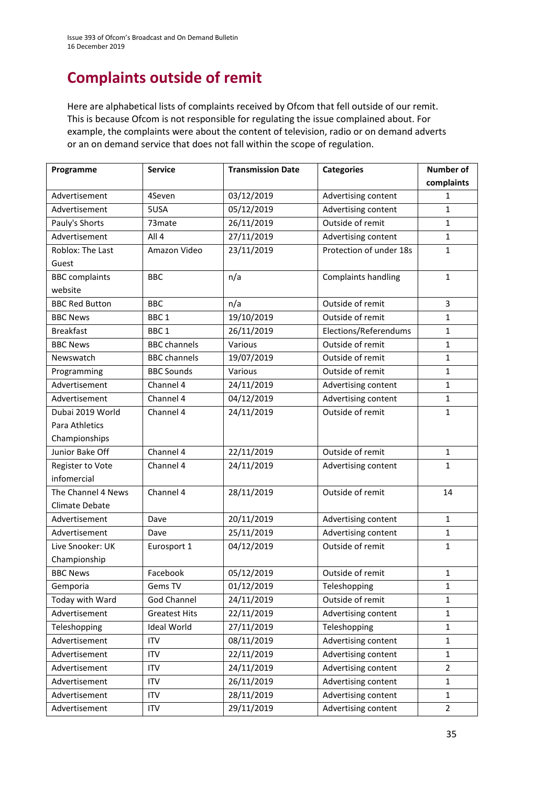# **Complaints outside of remit**

Here are alphabetical lists of complaints received by Ofcom that fell outside of our remit. This is because Ofcom is not responsible for regulating the issue complained about. For example, the complaints were about the content of television, radio or on demand adverts or an on demand service that does not fall within the scope of regulation.

| Programme             | <b>Service</b>       | <b>Transmission Date</b> | <b>Categories</b>       | <b>Number of</b> |
|-----------------------|----------------------|--------------------------|-------------------------|------------------|
|                       |                      |                          |                         | complaints       |
| Advertisement         | 4Seven               | 03/12/2019               | Advertising content     | 1                |
| Advertisement         | 5USA                 | 05/12/2019               | Advertising content     | $\mathbf{1}$     |
| Pauly's Shorts        | 73mate               | 26/11/2019               | Outside of remit        | $\mathbf{1}$     |
| Advertisement         | All 4                | 27/11/2019               | Advertising content     | $\mathbf{1}$     |
| Roblox: The Last      | Amazon Video         | 23/11/2019               | Protection of under 18s | 1                |
| Guest                 |                      |                          |                         |                  |
| <b>BBC</b> complaints | <b>BBC</b>           | n/a                      | Complaints handling     | $\mathbf{1}$     |
| website               |                      |                          |                         |                  |
| <b>BBC Red Button</b> | <b>BBC</b>           | n/a                      | Outside of remit        | 3                |
| <b>BBC News</b>       | BBC <sub>1</sub>     | 19/10/2019               | Outside of remit        | 1                |
| <b>Breakfast</b>      | BBC <sub>1</sub>     | 26/11/2019               | Elections/Referendums   | $\mathbf{1}$     |
| <b>BBC News</b>       | <b>BBC</b> channels  | Various                  | Outside of remit        | 1                |
| Newswatch             | <b>BBC</b> channels  | 19/07/2019               | Outside of remit        | $\mathbf{1}$     |
| Programming           | <b>BBC Sounds</b>    | Various                  | Outside of remit        | 1                |
| Advertisement         | Channel 4            | 24/11/2019               | Advertising content     | 1                |
| Advertisement         | Channel 4            | 04/12/2019               | Advertising content     | $\mathbf{1}$     |
| Dubai 2019 World      | Channel 4            | 24/11/2019               | Outside of remit        | 1                |
| Para Athletics        |                      |                          |                         |                  |
| Championships         |                      |                          |                         |                  |
| Junior Bake Off       | Channel 4            | 22/11/2019               | Outside of remit        | $\mathbf{1}$     |
| Register to Vote      | Channel 4            | 24/11/2019               | Advertising content     | $\mathbf{1}$     |
| infomercial           |                      |                          |                         |                  |
| The Channel 4 News    | Channel 4            | 28/11/2019               | Outside of remit        | 14               |
| Climate Debate        |                      |                          |                         |                  |
| Advertisement         | Dave                 | 20/11/2019               | Advertising content     | $\mathbf{1}$     |
| Advertisement         | Dave                 | 25/11/2019               | Advertising content     | $\mathbf 1$      |
| Live Snooker: UK      | Eurosport 1          | 04/12/2019               | Outside of remit        | 1                |
| Championship          |                      |                          |                         |                  |
| <b>BBC News</b>       | Facebook             | 05/12/2019               | Outside of remit        | $\mathbf 1$      |
| Gemporia              | Gems TV              | 01/12/2019               | Teleshopping            | $\mathbf{1}$     |
| Today with Ward       | God Channel          | 24/11/2019               | Outside of remit        | $\mathbf{1}$     |
| Advertisement         | <b>Greatest Hits</b> | 22/11/2019               | Advertising content     | $\mathbf{1}$     |
| Teleshopping          | <b>Ideal World</b>   | 27/11/2019               | Teleshopping            | $\mathbf 1$      |
| Advertisement         | <b>ITV</b>           | 08/11/2019               | Advertising content     | $\mathbf 1$      |
| Advertisement         | <b>ITV</b>           | 22/11/2019               | Advertising content     | $\mathbf{1}$     |
| Advertisement         | <b>ITV</b>           | 24/11/2019               | Advertising content     | 2                |
| Advertisement         | <b>ITV</b>           | 26/11/2019               | Advertising content     | 1                |
| Advertisement         | <b>ITV</b>           | 28/11/2019               | Advertising content     | $\mathbf 1$      |
| Advertisement         | ITV                  | 29/11/2019               | Advertising content     | $\overline{2}$   |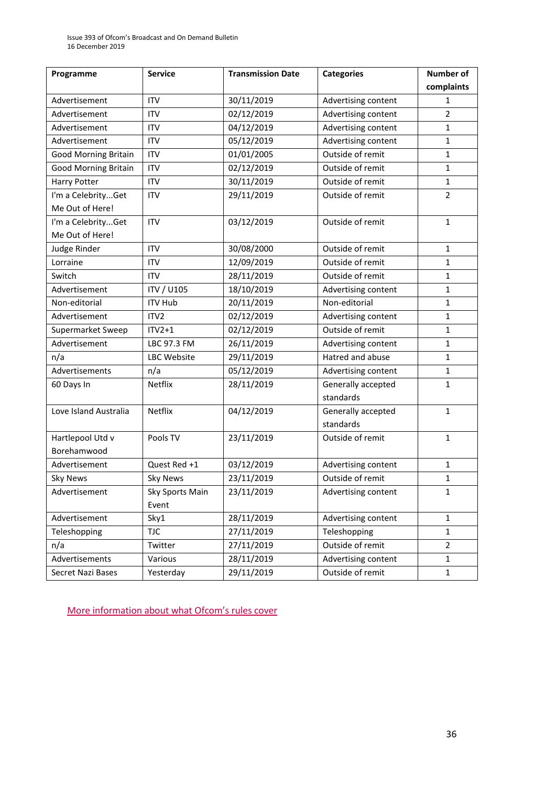| Programme                   | <b>Service</b>     | <b>Transmission Date</b> | <b>Categories</b>   | Number of      |
|-----------------------------|--------------------|--------------------------|---------------------|----------------|
|                             |                    |                          |                     | complaints     |
| Advertisement               | <b>ITV</b>         | 30/11/2019               | Advertising content | 1              |
| Advertisement               | <b>ITV</b>         | 02/12/2019               | Advertising content | $\overline{2}$ |
| Advertisement               | <b>ITV</b>         | 04/12/2019               | Advertising content | $\mathbf{1}$   |
| Advertisement               | <b>ITV</b>         | 05/12/2019               | Advertising content | $\mathbf{1}$   |
| Good Morning Britain        | <b>ITV</b>         | 01/01/2005               | Outside of remit    | $\mathbf{1}$   |
| <b>Good Morning Britain</b> | <b>ITV</b>         | 02/12/2019               | Outside of remit    | $\mathbf 1$    |
| Harry Potter                | <b>ITV</b>         | 30/11/2019               | Outside of remit    | $\mathbf{1}$   |
| I'm a CelebrityGet          | <b>ITV</b>         | 29/11/2019               | Outside of remit    | $\overline{2}$ |
| Me Out of Here!             |                    |                          |                     |                |
| I'm a CelebrityGet          | <b>ITV</b>         | 03/12/2019               | Outside of remit    | $\mathbf{1}$   |
| Me Out of Here!             |                    |                          |                     |                |
| Judge Rinder                | <b>ITV</b>         | 30/08/2000               | Outside of remit    | $\mathbf{1}$   |
| Lorraine                    | <b>ITV</b>         | 12/09/2019               | Outside of remit    | $\mathbf{1}$   |
| Switch                      | <b>ITV</b>         | 28/11/2019               | Outside of remit    | $\mathbf{1}$   |
| Advertisement               | <b>ITV / U105</b>  | 18/10/2019               | Advertising content | $\mathbf{1}$   |
| Non-editorial               | <b>ITV Hub</b>     | 20/11/2019               | Non-editorial       | $\mathbf{1}$   |
| Advertisement               | ITV2               | 02/12/2019               | Advertising content | 1              |
| Supermarket Sweep           | $ITY2+1$           | 02/12/2019               | Outside of remit    | $\mathbf{1}$   |
| Advertisement               | LBC 97.3 FM        | 26/11/2019               | Advertising content | 1              |
| n/a                         | <b>LBC Website</b> | 29/11/2019               | Hatred and abuse    | $\mathbf{1}$   |
| Advertisements              | n/a                | 05/12/2019               | Advertising content | $\mathbf{1}$   |
| 60 Days In                  | Netflix            | 28/11/2019               | Generally accepted  | $\mathbf{1}$   |
|                             |                    |                          | standards           |                |
| Love Island Australia       | Netflix            | 04/12/2019               | Generally accepted  | $\mathbf{1}$   |
|                             |                    |                          | standards           |                |
| Hartlepool Utd v            | Pools TV           | 23/11/2019               | Outside of remit    | $\mathbf{1}$   |
| Borehamwood                 |                    |                          |                     |                |
| Advertisement               | Quest Red +1       | 03/12/2019               | Advertising content | $\mathbf{1}$   |
| <b>Sky News</b>             | <b>Sky News</b>    | 23/11/2019               | Outside of remit    | $\mathbf 1$    |
| Advertisement               | Sky Sports Main    | 23/11/2019               | Advertising content | $\mathbf{1}$   |
|                             | Event              |                          |                     |                |
| Advertisement               | Sky1               | 28/11/2019               | Advertising content | $\mathbf{1}$   |
| Teleshopping                | <b>TJC</b>         | 27/11/2019               | Teleshopping        | $\mathbf{1}$   |
| n/a                         | Twitter            | 27/11/2019               | Outside of remit    | $\overline{2}$ |
| Advertisements              | Various            | 28/11/2019               | Advertising content | $\mathbf{1}$   |
| Secret Nazi Bases           | Yesterday          | 29/11/2019               | Outside of remit    | $\mathbf{1}$   |

M[ore information about what Ofcom's rules cover](https://www.ofcom.org.uk/tv-radio-and-on-demand/how-to-report-a-complaint/what-does-ofcom-cover)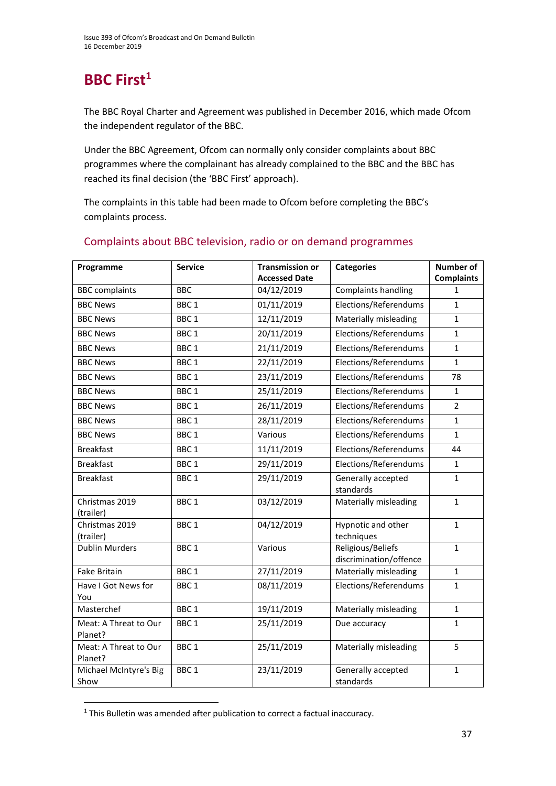# **BBC First<sup>1</sup>**

The BBC Royal Charter and Agreement was published in December 2016, which made Ofcom the independent regulator of the BBC.

Under the BBC Agreement, Ofcom can normally only consider complaints about BBC programmes where the complainant has already complained to the BBC and the BBC has reached its final decision (the 'BBC First' approach).

The complaints in this table had been made to Ofcom before completing the BBC's complaints process.

| Programme                        | <b>Service</b>   | <b>Transmission or</b> | <b>Categories</b>                           | <b>Number of</b>  |
|----------------------------------|------------------|------------------------|---------------------------------------------|-------------------|
|                                  |                  | <b>Accessed Date</b>   |                                             | <b>Complaints</b> |
| <b>BBC</b> complaints            | <b>BBC</b>       | 04/12/2019             | Complaints handling                         | 1                 |
| <b>BBC News</b>                  | BBC <sub>1</sub> | 01/11/2019             | Elections/Referendums                       | $\mathbf{1}$      |
| <b>BBC News</b>                  | BBC <sub>1</sub> | 12/11/2019             | Materially misleading                       | $\mathbf{1}$      |
| <b>BBC News</b>                  | BBC <sub>1</sub> | 20/11/2019             | Elections/Referendums                       | $\mathbf{1}$      |
| <b>BBC News</b>                  | BBC <sub>1</sub> | 21/11/2019             | Elections/Referendums                       | $\mathbf{1}$      |
| <b>BBC News</b>                  | BBC <sub>1</sub> | 22/11/2019             | Elections/Referendums                       | $\mathbf{1}$      |
| <b>BBC News</b>                  | BBC <sub>1</sub> | 23/11/2019             | Elections/Referendums                       | 78                |
| <b>BBC News</b>                  | BBC <sub>1</sub> | 25/11/2019             | Elections/Referendums                       | $\mathbf{1}$      |
| <b>BBC News</b>                  | BBC <sub>1</sub> | 26/11/2019             | Elections/Referendums                       | $\overline{2}$    |
| <b>BBC News</b>                  | BBC <sub>1</sub> | 28/11/2019             | Elections/Referendums                       | $\mathbf{1}$      |
| <b>BBC News</b>                  | BBC <sub>1</sub> | Various                | Elections/Referendums                       | $\mathbf{1}$      |
| <b>Breakfast</b>                 | BBC <sub>1</sub> | 11/11/2019             | Elections/Referendums                       | 44                |
| <b>Breakfast</b>                 | BBC <sub>1</sub> | 29/11/2019             | Elections/Referendums                       | $\mathbf{1}$      |
| <b>Breakfast</b>                 | BBC <sub>1</sub> | 29/11/2019             | Generally accepted<br>standards             | $\mathbf{1}$      |
| Christmas 2019<br>(trailer)      | BBC <sub>1</sub> | 03/12/2019             | Materially misleading                       | $\mathbf{1}$      |
| Christmas 2019<br>(trailer)      | BBC <sub>1</sub> | 04/12/2019             | Hypnotic and other<br>techniques            | $\mathbf{1}$      |
| <b>Dublin Murders</b>            | BBC <sub>1</sub> | Various                | Religious/Beliefs<br>discrimination/offence | $\mathbf{1}$      |
| <b>Fake Britain</b>              | BBC <sub>1</sub> | 27/11/2019             | Materially misleading                       | $\mathbf{1}$      |
| Have I Got News for<br>You       | BBC <sub>1</sub> | 08/11/2019             | Elections/Referendums                       | $\mathbf{1}$      |
| Masterchef                       | BBC <sub>1</sub> | 19/11/2019             | Materially misleading                       | $\mathbf{1}$      |
| Meat: A Threat to Our<br>Planet? | BBC <sub>1</sub> | 25/11/2019             | Due accuracy                                | $\mathbf{1}$      |
| Meat: A Threat to Our<br>Planet? | BBC <sub>1</sub> | 25/11/2019             | Materially misleading                       | 5                 |
| Michael McIntyre's Big<br>Show   | BBC <sub>1</sub> | 23/11/2019             | Generally accepted<br>standards             | $\mathbf{1}$      |

### Complaints about BBC television, radio or on demand programmes

**.** 

<sup>1</sup> This Bulletin was amended after publication to correct a factual inaccuracy.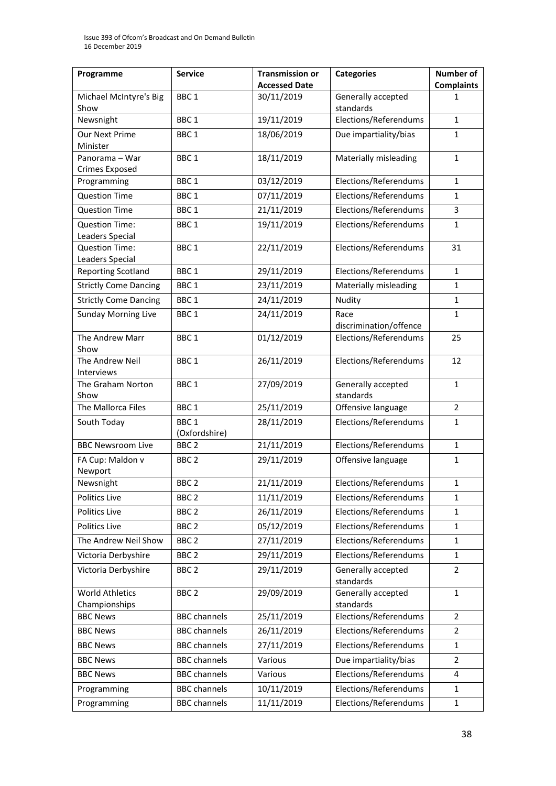| Programme                                | <b>Service</b>      | <b>Transmission or</b><br><b>Accessed Date</b> | <b>Categories</b>                    | Number of<br><b>Complaints</b> |
|------------------------------------------|---------------------|------------------------------------------------|--------------------------------------|--------------------------------|
| Michael McIntyre's Big<br>Show           | BBC <sub>1</sub>    | 30/11/2019                                     | Generally accepted<br>standards      | 1.                             |
| Newsnight                                | BBC <sub>1</sub>    | 19/11/2019                                     | Elections/Referendums                | $\mathbf{1}$                   |
| Our Next Prime                           | BBC <sub>1</sub>    | 18/06/2019                                     | Due impartiality/bias                | $\mathbf{1}$                   |
| Minister                                 |                     |                                                |                                      |                                |
| Panorama - War                           | BBC <sub>1</sub>    | 18/11/2019                                     | Materially misleading                | 1                              |
| <b>Crimes Exposed</b>                    |                     |                                                |                                      |                                |
| Programming                              | BBC <sub>1</sub>    | 03/12/2019                                     | Elections/Referendums                | $\mathbf{1}$                   |
| <b>Question Time</b>                     | BBC <sub>1</sub>    | 07/11/2019                                     | Elections/Referendums                | 1                              |
| <b>Question Time</b>                     | BBC <sub>1</sub>    | 21/11/2019                                     | Elections/Referendums                | 3                              |
| <b>Question Time:</b>                    | BBC <sub>1</sub>    | 19/11/2019                                     | Elections/Referendums                | 1                              |
| Leaders Special<br><b>Question Time:</b> | BBC <sub>1</sub>    | 22/11/2019                                     | Elections/Referendums                | 31                             |
| Leaders Special                          |                     |                                                |                                      |                                |
| <b>Reporting Scotland</b>                | BBC <sub>1</sub>    | 29/11/2019                                     | Elections/Referendums                | $\mathbf{1}$                   |
| <b>Strictly Come Dancing</b>             | BBC <sub>1</sub>    | 23/11/2019                                     | Materially misleading                | 1                              |
| <b>Strictly Come Dancing</b>             | BBC <sub>1</sub>    | 24/11/2019                                     | Nudity                               | 1                              |
| <b>Sunday Morning Live</b>               | BBC <sub>1</sub>    | 24/11/2019                                     | Race                                 | $\mathbf{1}$                   |
|                                          |                     |                                                | discrimination/offence               |                                |
| The Andrew Marr                          | BBC <sub>1</sub>    | 01/12/2019                                     | Elections/Referendums                | 25                             |
| Show                                     |                     |                                                |                                      |                                |
| The Andrew Neil                          | BBC <sub>1</sub>    | 26/11/2019                                     | Elections/Referendums                | 12                             |
| Interviews<br>The Graham Norton          | BBC <sub>1</sub>    | 27/09/2019                                     |                                      | $\mathbf{1}$                   |
| Show                                     |                     |                                                | Generally accepted<br>standards      |                                |
| The Mallorca Files                       | BBC <sub>1</sub>    | 25/11/2019                                     | Offensive language<br>$\overline{2}$ |                                |
| South Today                              | BBC <sub>1</sub>    | 28/11/2019                                     | Elections/Referendums                | 1                              |
|                                          | (Oxfordshire)       |                                                |                                      |                                |
| <b>BBC Newsroom Live</b>                 | BBC <sub>2</sub>    | 21/11/2019                                     | Elections/Referendums                | $\mathbf{1}$                   |
| FA Cup: Maldon v<br>Newport              | BBC <sub>2</sub>    | 29/11/2019                                     | Offensive language                   | 1                              |
| Newsnight                                | BBC <sub>2</sub>    | 21/11/2019                                     | Elections/Referendums                | 1                              |
| Politics Live                            | BBC <sub>2</sub>    | 11/11/2019                                     | Elections/Referendums                | 1                              |
| Politics Live                            | BBC <sub>2</sub>    | 26/11/2019                                     | Elections/Referendums                | 1                              |
| Politics Live                            | BBC <sub>2</sub>    | 05/12/2019                                     | Elections/Referendums                | 1                              |
| The Andrew Neil Show                     | BBC <sub>2</sub>    | 27/11/2019                                     | Elections/Referendums                | 1                              |
| Victoria Derbyshire                      | BBC <sub>2</sub>    | 29/11/2019                                     | Elections/Referendums                | $\mathbf{1}$                   |
| Victoria Derbyshire                      | BBC <sub>2</sub>    | 29/11/2019                                     | Generally accepted                   | $\overline{2}$                 |
|                                          |                     |                                                | standards                            |                                |
| <b>World Athletics</b>                   | BBC <sub>2</sub>    | 29/09/2019                                     | Generally accepted                   | 1                              |
| Championships                            |                     |                                                | standards                            |                                |
| <b>BBC News</b>                          | <b>BBC</b> channels | 25/11/2019                                     | Elections/Referendums                | 2                              |
| <b>BBC News</b>                          | <b>BBC</b> channels | 26/11/2019                                     | Elections/Referendums                | $\overline{2}$                 |
| <b>BBC News</b>                          | <b>BBC</b> channels | 27/11/2019                                     | Elections/Referendums                | 1                              |
| <b>BBC News</b>                          | <b>BBC</b> channels | Various                                        | Due impartiality/bias                | $\overline{2}$                 |
| <b>BBC News</b>                          | <b>BBC</b> channels | Various                                        | Elections/Referendums                | 4                              |
| Programming                              | <b>BBC</b> channels | 10/11/2019                                     | Elections/Referendums                | 1                              |
| Programming                              | <b>BBC</b> channels | 11/11/2019                                     | Elections/Referendums                | 1                              |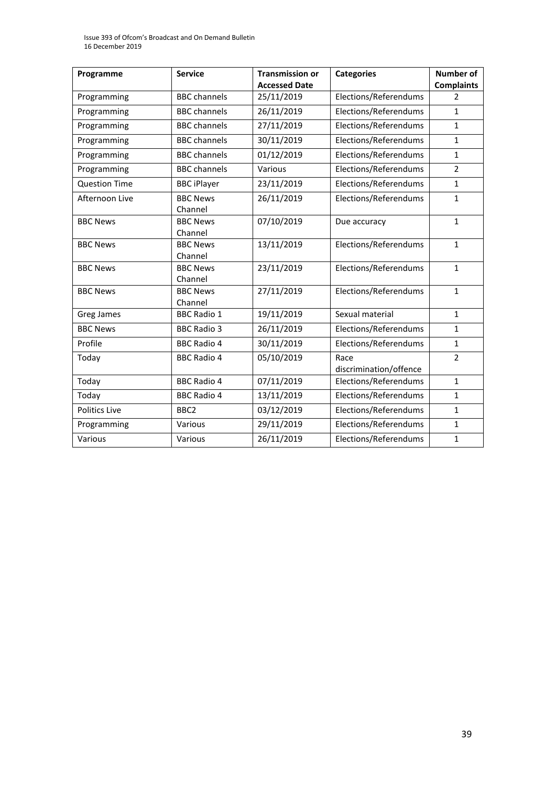Issue 393 of Ofcom's Broadcast and On Demand Bulletin 16 December 2019

| Programme            | <b>Service</b>      | <b>Transmission or</b> | <b>Categories</b>      | <b>Number of</b>  |
|----------------------|---------------------|------------------------|------------------------|-------------------|
|                      |                     | <b>Accessed Date</b>   |                        | <b>Complaints</b> |
| Programming          | <b>BBC</b> channels | 25/11/2019             | Elections/Referendums  | 2                 |
| Programming          | <b>BBC</b> channels | 26/11/2019             | Elections/Referendums  | $\mathbf{1}$      |
| Programming          | <b>BBC</b> channels | 27/11/2019             | Elections/Referendums  | $\mathbf{1}$      |
| Programming          | <b>BBC</b> channels | 30/11/2019             | Elections/Referendums  | $\mathbf{1}$      |
| Programming          | <b>BBC</b> channels | 01/12/2019             | Elections/Referendums  | $\mathbf{1}$      |
| Programming          | <b>BBC</b> channels | Various                | Elections/Referendums  | $\overline{2}$    |
| <b>Question Time</b> | <b>BBC iPlayer</b>  | 23/11/2019             | Elections/Referendums  | $\mathbf{1}$      |
| Afternoon Live       | <b>BBC News</b>     | 26/11/2019             | Elections/Referendums  | $\mathbf{1}$      |
|                      | Channel             |                        |                        |                   |
| <b>BBC News</b>      | <b>BBC News</b>     | 07/10/2019             | Due accuracy           | $\mathbf{1}$      |
|                      | Channel             |                        |                        |                   |
| <b>BBC News</b>      | <b>BBC News</b>     | 13/11/2019             | Elections/Referendums  | $\mathbf{1}$      |
|                      | Channel             |                        |                        |                   |
| <b>BBC News</b>      | <b>BBC News</b>     | 23/11/2019             | Elections/Referendums  | $\mathbf{1}$      |
|                      | Channel             |                        |                        |                   |
| <b>BBC News</b>      | <b>BBC News</b>     | 27/11/2019             | Elections/Referendums  | $\mathbf{1}$      |
|                      | Channel             |                        |                        |                   |
| Greg James           | <b>BBC Radio 1</b>  | 19/11/2019             | Sexual material        | $\mathbf{1}$      |
| <b>BBC News</b>      | <b>BBC Radio 3</b>  | 26/11/2019             | Elections/Referendums  | $\mathbf{1}$      |
| Profile              | <b>BBC Radio 4</b>  | 30/11/2019             | Elections/Referendums  | $\mathbf{1}$      |
| Today                | <b>BBC Radio 4</b>  | 05/10/2019             | Race                   | $\overline{2}$    |
|                      |                     |                        | discrimination/offence |                   |
| Today                | <b>BBC Radio 4</b>  | 07/11/2019             | Elections/Referendums  | $\mathbf{1}$      |
| Today                | <b>BBC Radio 4</b>  | 13/11/2019             | Elections/Referendums  | $\mathbf{1}$      |
| Politics Live        | BBC <sub>2</sub>    | 03/12/2019             | Elections/Referendums  | $\mathbf{1}$      |
| Programming          | Various             | 29/11/2019             | Elections/Referendums  | $\mathbf{1}$      |
| Various              | Various             | 26/11/2019             | Elections/Referendums  | $\mathbf{1}$      |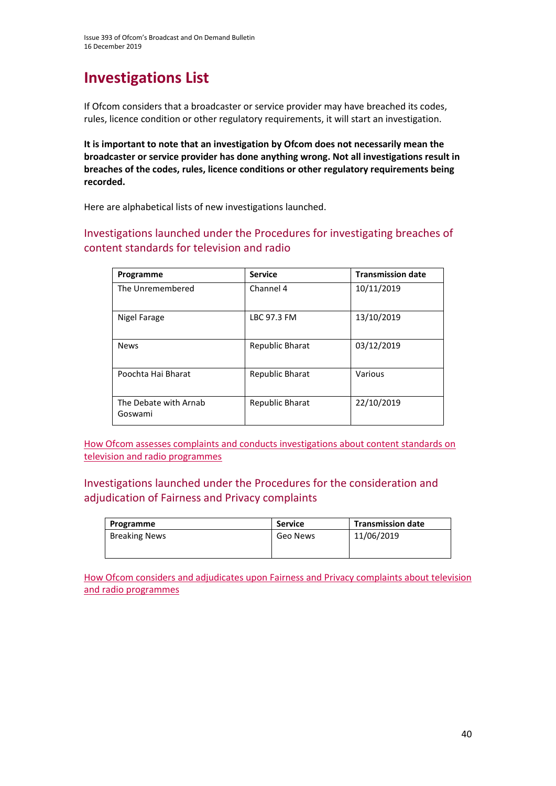# **Investigations List**

If Ofcom considers that a broadcaster or service provider may have breached its codes, rules, licence condition or other regulatory requirements, it will start an investigation.

**It is important to note that an investigation by Ofcom does not necessarily mean the broadcaster or service provider has done anything wrong. Not all investigations result in breaches of the codes, rules, licence conditions or other regulatory requirements being recorded.**

Here are alphabetical lists of new investigations launched.

Investigations launched under the Procedures for investigating breaches of content standards for television and radio

| Programme                        | <b>Service</b>         | <b>Transmission date</b> |
|----------------------------------|------------------------|--------------------------|
| The Unremembered                 | Channel 4              | 10/11/2019               |
| Nigel Farage                     | LBC 97.3 FM            | 13/10/2019               |
| <b>News</b>                      | <b>Republic Bharat</b> | 03/12/2019               |
| Poochta Hai Bharat               | <b>Republic Bharat</b> | Various                  |
| The Debate with Arnab<br>Goswami | <b>Republic Bharat</b> | 22/10/2019               |

[How Ofcom assesses complaints and conducts investigations about content standards on](https://www.ofcom.org.uk/__data/assets/pdf_file/0020/55109/breaches-content-standards.pdf)  [television and radio programmes](https://www.ofcom.org.uk/__data/assets/pdf_file/0020/55109/breaches-content-standards.pdf)

Investigations launched under the Procedures for the consideration and adjudication of Fairness and Privacy complaints

| Programme            | <b>Service</b> | <b>Transmission date</b> |
|----------------------|----------------|--------------------------|
| <b>Breaking News</b> | Geo News       | 11/06/2019               |
|                      |                |                          |

[How Ofcom considers and adjudicates upon Fairness and Privacy complaints about television](https://www.ofcom.org.uk/__data/assets/pdf_file/0031/57388/fairness-privacy-complaints.pdf)  and [radio programmes](https://www.ofcom.org.uk/__data/assets/pdf_file/0031/57388/fairness-privacy-complaints.pdf)